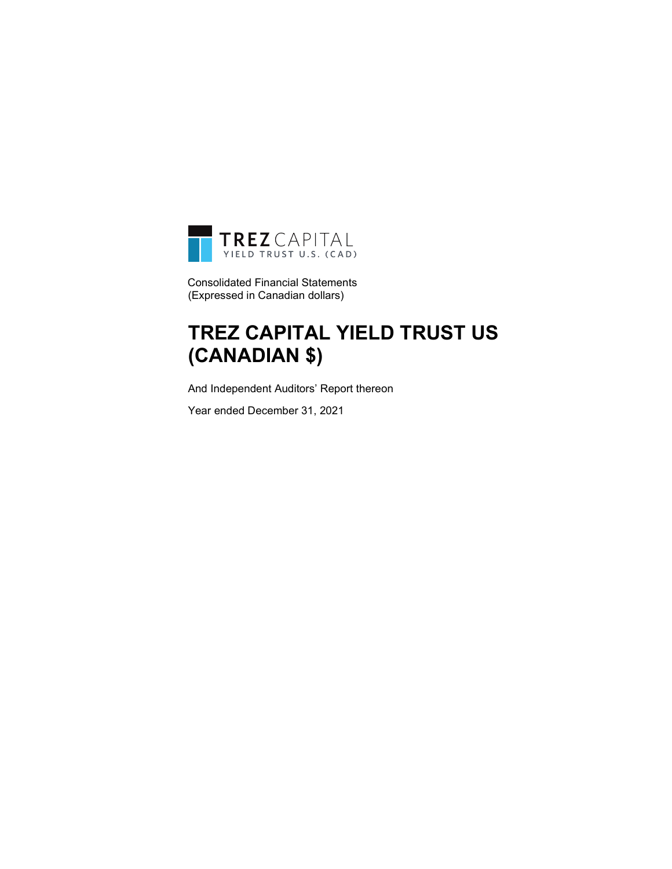

Consolidated Financial Statements (Expressed in Canadian dollars)

### **TREZ CAPITAL YIELD TRUST US (CANADIAN \$)**

And Independent Auditors' Report thereon

Year ended December 31, 2021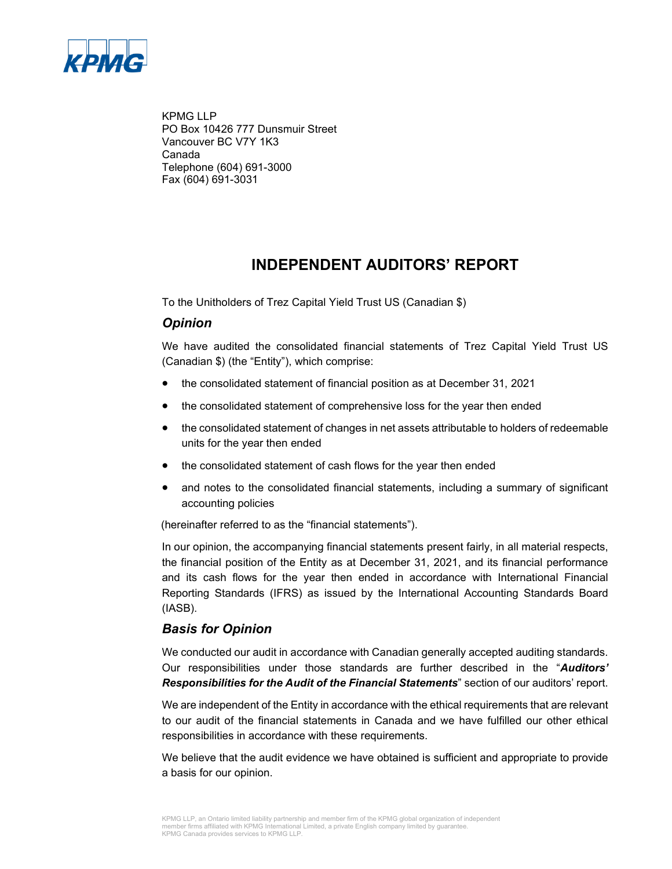

KPMG LLP PO Box 10426 777 Dunsmuir Street Vancouver BC V7Y 1K3 Canada Telephone (604) 691-3000 Fax (604) 691-3031

### **INDEPENDENT AUDITORS' REPORT**

To the Unitholders of Trez Capital Yield Trust US (Canadian \$)

### *Opinion*

We have audited the consolidated financial statements of Trez Capital Yield Trust US (Canadian \$) (the "Entity"), which comprise:

- the consolidated statement of financial position as at December 31, 2021
- the consolidated statement of comprehensive loss for the year then ended
- the consolidated statement of changes in net assets attributable to holders of redeemable units for the year then ended
- the consolidated statement of cash flows for the year then ended
- and notes to the consolidated financial statements, including a summary of significant accounting policies

(hereinafter referred to as the "financial statements").

In our opinion, the accompanying financial statements present fairly, in all material respects, the financial position of the Entity as at December 31, 2021, and its financial performance and its cash flows for the year then ended in accordance with International Financial Reporting Standards (IFRS) as issued by the International Accounting Standards Board (IASB).

### *Basis for Opinion*

We conducted our audit in accordance with Canadian generally accepted auditing standards. Our responsibilities under those standards are further described in the "*Auditors' Responsibilities for the Audit of the Financial Statements*" section of our auditors' report.

We are independent of the Entity in accordance with the ethical requirements that are relevant to our audit of the financial statements in Canada and we have fulfilled our other ethical responsibilities in accordance with these requirements.

We believe that the audit evidence we have obtained is sufficient and appropriate to provide a basis for our opinion.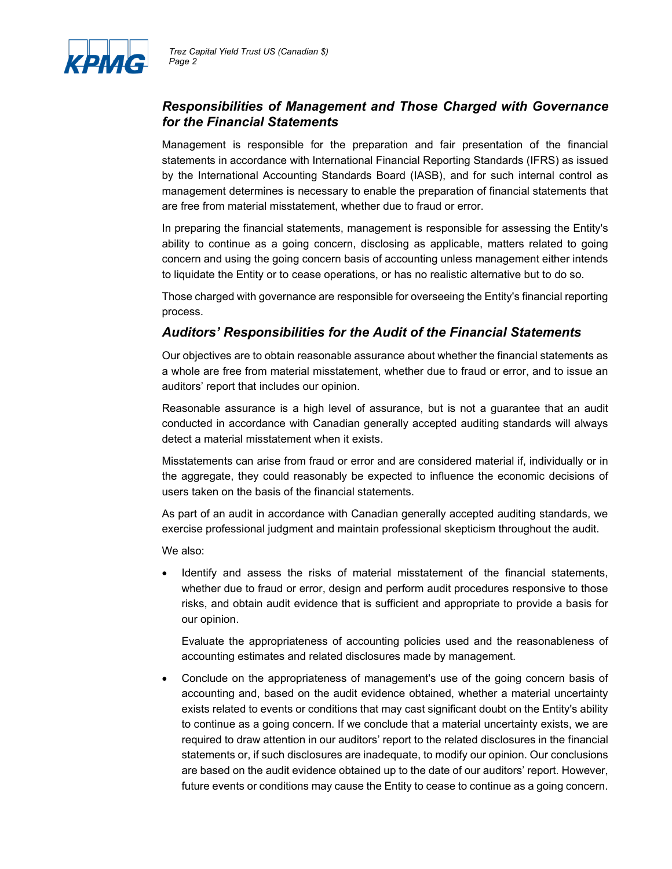

### *Responsibilities of Management and Those Charged with Governance for the Financial Statements*

Management is responsible for the preparation and fair presentation of the financial statements in accordance with International Financial Reporting Standards (IFRS) as issued by the International Accounting Standards Board (IASB), and for such internal control as management determines is necessary to enable the preparation of financial statements that are free from material misstatement, whether due to fraud or error.

In preparing the financial statements, management is responsible for assessing the Entity's ability to continue as a going concern, disclosing as applicable, matters related to going concern and using the going concern basis of accounting unless management either intends to liquidate the Entity or to cease operations, or has no realistic alternative but to do so.

Those charged with governance are responsible for overseeing the Entity's financial reporting process.

### *Auditors' Responsibilities for the Audit of the Financial Statements*

Our objectives are to obtain reasonable assurance about whether the financial statements as a whole are free from material misstatement, whether due to fraud or error, and to issue an auditors' report that includes our opinion.

Reasonable assurance is a high level of assurance, but is not a guarantee that an audit conducted in accordance with Canadian generally accepted auditing standards will always detect a material misstatement when it exists.

Misstatements can arise from fraud or error and are considered material if, individually or in the aggregate, they could reasonably be expected to influence the economic decisions of users taken on the basis of the financial statements.

As part of an audit in accordance with Canadian generally accepted auditing standards, we exercise professional judgment and maintain professional skepticism throughout the audit.

We also:

• Identify and assess the risks of material misstatement of the financial statements, whether due to fraud or error, design and perform audit procedures responsive to those risks, and obtain audit evidence that is sufficient and appropriate to provide a basis for our opinion.

Evaluate the appropriateness of accounting policies used and the reasonableness of accounting estimates and related disclosures made by management.

• Conclude on the appropriateness of management's use of the going concern basis of accounting and, based on the audit evidence obtained, whether a material uncertainty exists related to events or conditions that may cast significant doubt on the Entity's ability to continue as a going concern. If we conclude that a material uncertainty exists, we are required to draw attention in our auditors' report to the related disclosures in the financial statements or, if such disclosures are inadequate, to modify our opinion. Our conclusions are based on the audit evidence obtained up to the date of our auditors' report. However, future events or conditions may cause the Entity to cease to continue as a going concern.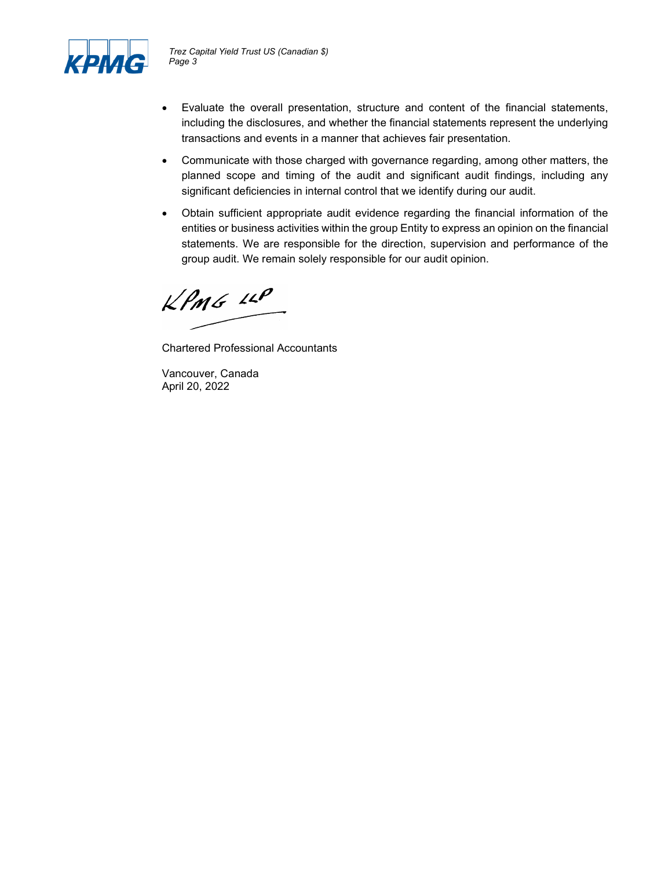

- Evaluate the overall presentation, structure and content of the financial statements, including the disclosures, and whether the financial statements represent the underlying transactions and events in a manner that achieves fair presentation.
- Communicate with those charged with governance regarding, among other matters, the planned scope and timing of the audit and significant audit findings, including any significant deficiencies in internal control that we identify during our audit.
- Obtain sufficient appropriate audit evidence regarding the financial information of the entities or business activities within the group Entity to express an opinion on the financial statements. We are responsible for the direction, supervision and performance of the group audit. We remain solely responsible for our audit opinion.

 $KPMG$  14P

Chartered Professional Accountants

Vancouver, Canada April 20, 2022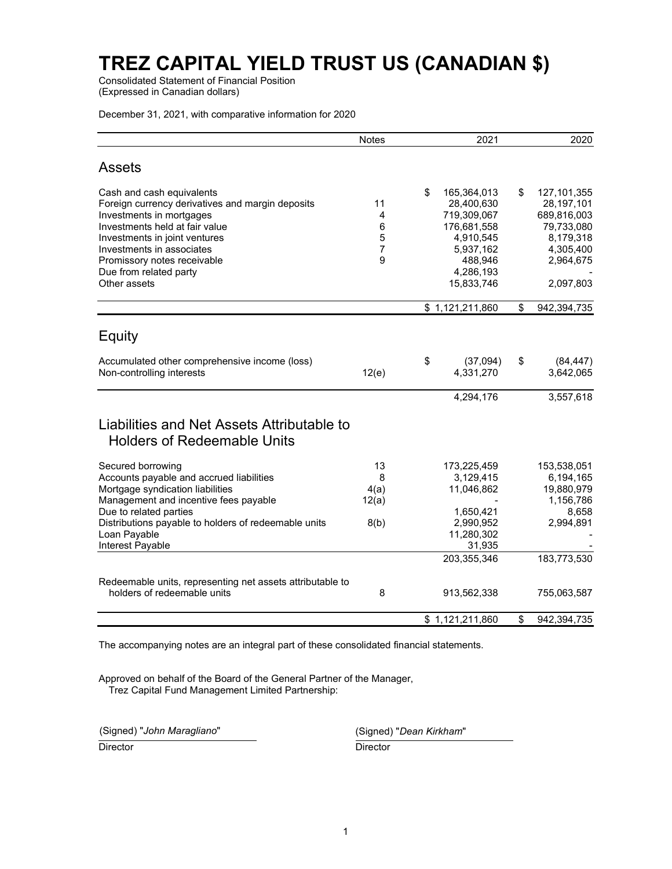Consolidated Statement of Financial Position (Expressed in Canadian dollars)

December 31, 2021, with comparative information for 2020

|                                                                                                                                                                                                                                                                                    | <b>Notes</b>                     | 2021                                                                                                                          | 2020                                                                                                               |
|------------------------------------------------------------------------------------------------------------------------------------------------------------------------------------------------------------------------------------------------------------------------------------|----------------------------------|-------------------------------------------------------------------------------------------------------------------------------|--------------------------------------------------------------------------------------------------------------------|
| <b>Assets</b>                                                                                                                                                                                                                                                                      |                                  |                                                                                                                               |                                                                                                                    |
| Cash and cash equivalents<br>Foreign currency derivatives and margin deposits<br>Investments in mortgages<br>Investments held at fair value<br>Investments in joint ventures<br>Investments in associates<br>Promissory notes receivable<br>Due from related party<br>Other assets | 11<br>4<br>6<br>5<br>7<br>9      | \$<br>165,364,013<br>28,400,630<br>719,309,067<br>176,681,558<br>4,910,545<br>5,937,162<br>488,946<br>4,286,193<br>15,833,746 | \$<br>127, 101, 355<br>28,197,101<br>689,816,003<br>79,733,080<br>8,179,318<br>4,305,400<br>2,964,675<br>2,097,803 |
|                                                                                                                                                                                                                                                                                    |                                  | \$1,121,211,860                                                                                                               | \$<br>942,394,735                                                                                                  |
| Equity                                                                                                                                                                                                                                                                             |                                  |                                                                                                                               |                                                                                                                    |
| Accumulated other comprehensive income (loss)<br>Non-controlling interests                                                                                                                                                                                                         | 12(e)                            | \$<br>(37,094)<br>4,331,270                                                                                                   | \$<br>(84, 447)<br>3,642,065                                                                                       |
|                                                                                                                                                                                                                                                                                    |                                  | 4,294,176                                                                                                                     | 3,557,618                                                                                                          |
| Liabilities and Net Assets Attributable to<br><b>Holders of Redeemable Units</b>                                                                                                                                                                                                   |                                  |                                                                                                                               |                                                                                                                    |
| Secured borrowing<br>Accounts payable and accrued liabilities<br>Mortgage syndication liabilities<br>Management and incentive fees payable<br>Due to related parties<br>Distributions payable to holders of redeemable units<br>Loan Payable<br>Interest Payable                   | 13<br>8<br>4(a)<br>12(a)<br>8(b) | 173,225,459<br>3,129,415<br>11,046,862<br>1,650,421<br>2,990,952<br>11,280,302<br>31,935<br>203,355,346                       | 153,538,051<br>6,194,165<br>19,880,979<br>1,156,786<br>8,658<br>2,994,891<br>183,773,530                           |
| Redeemable units, representing net assets attributable to<br>holders of redeemable units                                                                                                                                                                                           | 8                                | 913,562,338                                                                                                                   | 755,063,587                                                                                                        |
|                                                                                                                                                                                                                                                                                    |                                  | \$1,121,211,860                                                                                                               | \$<br>942,394,735                                                                                                  |

The accompanying notes are an integral part of these consolidated financial statements.

Approved on behalf of the Board of the General Partner of the Manager, Trez Capital Fund Management Limited Partnership:

(Signed) "*John Maragliano*" (Signed) "*Dean Kirkham*"

Director Director Director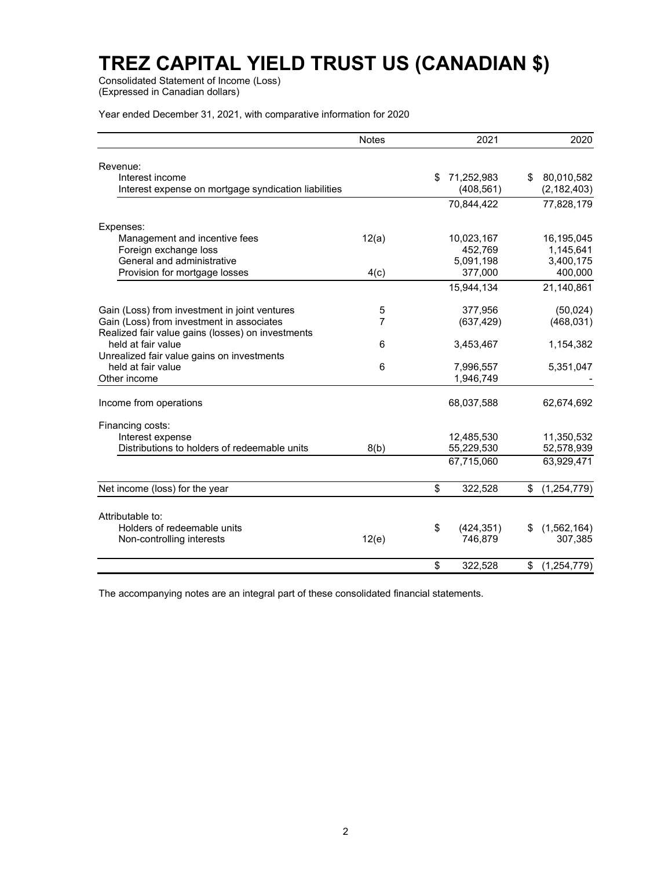Consolidated Statement of Income (Loss) (Expressed in Canadian dollars)

Year ended December 31, 2021, with comparative information for 2020

|                                                      | <b>Notes</b> | 2021             | 2020                |
|------------------------------------------------------|--------------|------------------|---------------------|
| Revenue:                                             |              |                  |                     |
| Interest income                                      |              | \$<br>71,252,983 | \$<br>80,010,582    |
| Interest expense on mortgage syndication liabilities |              | (408, 561)       | (2, 182, 403)       |
|                                                      |              | 70,844,422       | 77,828,179          |
| Expenses:                                            |              |                  |                     |
| Management and incentive fees                        | 12(a)        | 10,023,167       | 16,195,045          |
| Foreign exchange loss                                |              | 452,769          | 1,145,641           |
| General and administrative                           |              | 5,091,198        | 3,400,175           |
| Provision for mortgage losses                        | 4(c)         | 377,000          | 400,000             |
|                                                      |              | 15,944,134       | 21,140,861          |
| Gain (Loss) from investment in joint ventures        | 5            | 377,956          | (50,024)            |
| Gain (Loss) from investment in associates            | 7            | (637, 429)       | (468, 031)          |
| Realized fair value gains (losses) on investments    |              |                  |                     |
| held at fair value                                   | 6            | 3,453,467        | 1,154,382           |
| Unrealized fair value gains on investments           |              |                  |                     |
| held at fair value                                   | 6            | 7,996,557        | 5,351,047           |
| Other income                                         |              | 1,946,749        |                     |
| Income from operations                               |              | 68,037,588       | 62,674,692          |
| Financing costs:                                     |              |                  |                     |
| Interest expense                                     |              | 12,485,530       | 11,350,532          |
| Distributions to holders of redeemable units         | 8(b)         | 55,229,530       | 52,578,939          |
|                                                      |              | 67,715,060       | 63,929,471          |
|                                                      |              |                  |                     |
| Net income (loss) for the year                       |              | \$<br>322,528    | \$<br>(1,254,779)   |
| Attributable to:                                     |              |                  |                     |
| Holders of redeemable units                          |              | \$<br>(424, 351) | \$<br>(1,562,164)   |
| Non-controlling interests                            | 12(e)        | 746,879          | 307,385             |
|                                                      |              |                  |                     |
|                                                      |              | \$<br>322,528    | \$<br>(1, 254, 779) |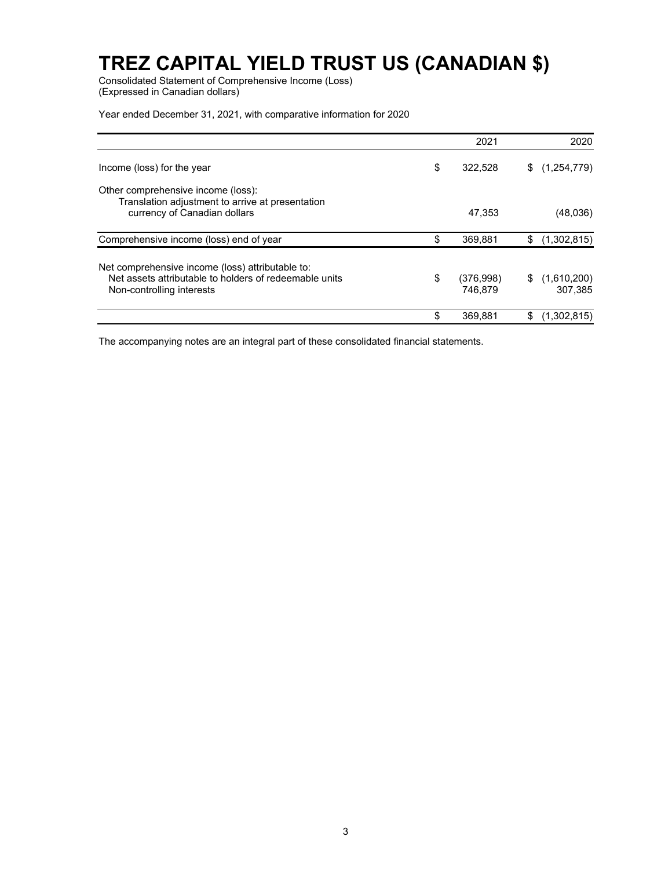Consolidated Statement of Comprehensive Income (Loss) (Expressed in Canadian dollars)

Year ended December 31, 2021, with comparative information for 2020

|                                                                                                                                         | 2021                       | 2020                         |
|-----------------------------------------------------------------------------------------------------------------------------------------|----------------------------|------------------------------|
| Income (loss) for the year                                                                                                              | \$<br>322.528              | (1,254,779)<br>S.            |
| Other comprehensive income (loss):<br>Translation adjustment to arrive at presentation<br>currency of Canadian dollars                  | 47,353                     | (48,036)                     |
| Comprehensive income (loss) end of year                                                                                                 | \$<br>369,881              | (1,302,815)<br>\$            |
| Net comprehensive income (loss) attributable to:<br>Net assets attributable to holders of redeemable units<br>Non-controlling interests | \$<br>(376,998)<br>746.879 | (1,610,200)<br>\$<br>307.385 |
|                                                                                                                                         | 369.881                    | (1,302,815)<br>\$            |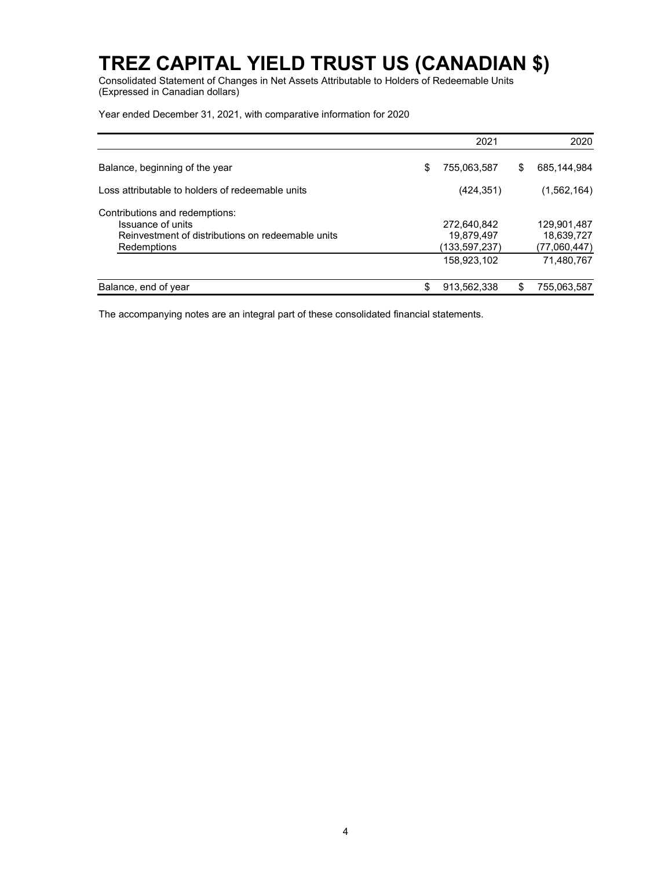Consolidated Statement of Changes in Net Assets Attributable to Holders of Redeemable Units (Expressed in Canadian dollars)

Year ended December 31, 2021, with comparative information for 2020

|                                                   |    | 2021          |   | 2020         |
|---------------------------------------------------|----|---------------|---|--------------|
| Balance, beginning of the year                    | S  | 755,063,587   | S | 685.144.984  |
| Loss attributable to holders of redeemable units  |    | (424, 351)    |   | (1,562,164)  |
| Contributions and redemptions:                    |    |               |   |              |
| Issuance of units                                 |    | 272.640.842   |   | 129.901.487  |
| Reinvestment of distributions on redeemable units |    | 19,879,497    |   | 18,639,727   |
| Redemptions                                       |    | (133,597,237) |   | (77,060,447) |
|                                                   |    | 158,923,102   |   | 71,480,767   |
| Balance, end of year                              | \$ | 913,562,338   | S | 755,063,587  |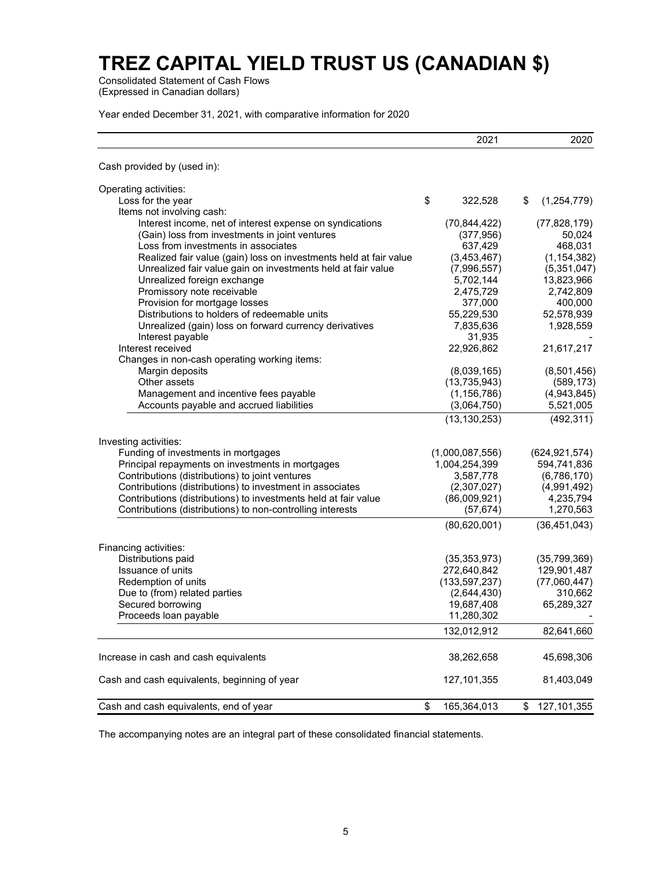Consolidated Statement of Cash Flows (Expressed in Canadian dollars)

Year ended December 31, 2021, with comparative information for 2020

|                                                                   | 2021              | 2020                |
|-------------------------------------------------------------------|-------------------|---------------------|
| Cash provided by (used in):                                       |                   |                     |
| Operating activities:                                             |                   |                     |
| Loss for the year                                                 | \$<br>322,528     | \$<br>(1, 254, 779) |
| Items not involving cash:                                         |                   |                     |
| Interest income, net of interest expense on syndications          | (70, 844, 422)    | (77, 828, 179)      |
| (Gain) loss from investments in joint ventures                    | (377, 956)        | 50,024              |
| Loss from investments in associates                               | 637,429           | 468,031             |
| Realized fair value (gain) loss on investments held at fair value | (3,453,467)       | (1, 154, 382)       |
| Unrealized fair value gain on investments held at fair value      | (7,996,557)       | (5,351,047)         |
| Unrealized foreign exchange                                       | 5,702,144         | 13,823,966          |
| Promissory note receivable                                        | 2,475,729         | 2,742,809           |
| Provision for mortgage losses                                     | 377,000           | 400,000             |
| Distributions to holders of redeemable units                      | 55,229,530        | 52,578,939          |
| Unrealized (gain) loss on forward currency derivatives            | 7,835,636         | 1,928,559           |
| Interest payable                                                  | 31,935            |                     |
| Interest received                                                 | 22,926,862        | 21,617,217          |
| Changes in non-cash operating working items:                      |                   |                     |
| Margin deposits                                                   | (8,039,165)       | (8,501,456)         |
| Other assets                                                      | (13, 735, 943)    | (589, 173)          |
| Management and incentive fees payable                             | (1, 156, 786)     | (4,943,845)         |
| Accounts payable and accrued liabilities                          | (3,064,750)       | 5,521,005           |
|                                                                   | (13, 130, 253)    | (492, 311)          |
| Investing activities:                                             |                   |                     |
| Funding of investments in mortgages                               | (1,000,087,556)   | (624, 921, 574)     |
| Principal repayments on investments in mortgages                  | 1,004,254,399     | 594,741,836         |
| Contributions (distributions) to joint ventures                   | 3,587,778         | (6,786,170)         |
| Contributions (distributions) to investment in associates         | (2,307,027)       | (4,991,492)         |
| Contributions (distributions) to investments held at fair value   | (86,009,921)      | 4,235,794           |
| Contributions (distributions) to non-controlling interests        | (57, 674)         | 1,270,563           |
|                                                                   | (80, 620, 001)    | (36, 451, 043)      |
| Financing activities:                                             |                   |                     |
| Distributions paid                                                | (35, 353, 973)    | (35,799,369)        |
| Issuance of units                                                 | 272,640,842       | 129,901,487         |
| Redemption of units                                               | (133, 597, 237)   | (77,060,447)        |
| Due to (from) related parties                                     | (2,644,430)       | 310,662             |
| Secured borrowing                                                 | 19,687,408        | 65,289,327          |
| Proceeds loan payable                                             | 11,280,302        |                     |
|                                                                   | 132,012,912       | 82,641,660          |
| Increase in cash and cash equivalents                             | 38,262,658        | 45,698,306          |
| Cash and cash equivalents, beginning of year                      | 127, 101, 355     | 81,403,049          |
| Cash and cash equivalents, end of year                            | \$<br>165,364,013 | \$<br>127, 101, 355 |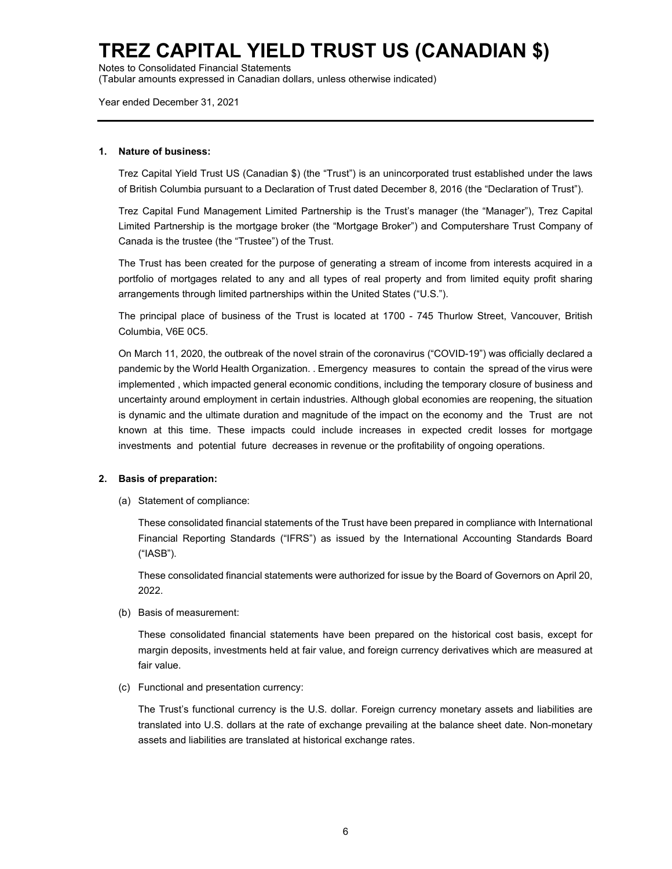Notes to Consolidated Financial Statements (Tabular amounts expressed in Canadian dollars, unless otherwise indicated)

Year ended December 31, 2021

### **1. Nature of business:**

Trez Capital Yield Trust US (Canadian \$) (the "Trust") is an unincorporated trust established under the laws of British Columbia pursuant to a Declaration of Trust dated December 8, 2016 (the "Declaration of Trust").

Trez Capital Fund Management Limited Partnership is the Trust's manager (the "Manager"), Trez Capital Limited Partnership is the mortgage broker (the "Mortgage Broker") and Computershare Trust Company of Canada is the trustee (the "Trustee") of the Trust.

The Trust has been created for the purpose of generating a stream of income from interests acquired in a portfolio of mortgages related to any and all types of real property and from limited equity profit sharing arrangements through limited partnerships within the United States ("U.S.").

The principal place of business of the Trust is located at 1700 - 745 Thurlow Street, Vancouver, British Columbia, V6E 0C5.

On March 11, 2020, the outbreak of the novel strain of the coronavirus ("COVID-19") was officially declared a pandemic by the World Health Organization. . Emergency measures to contain the spread of the virus were implemented , which impacted general economic conditions, including the temporary closure of business and uncertainty around employment in certain industries. Although global economies are reopening, the situation is dynamic and the ultimate duration and magnitude of the impact on the economy and the Trust are not known at this time. These impacts could include increases in expected credit losses for mortgage investments and potential future decreases in revenue or the profitability of ongoing operations.

#### **2. Basis of preparation:**

(a) Statement of compliance:

These consolidated financial statements of the Trust have been prepared in compliance with International Financial Reporting Standards ("IFRS") as issued by the International Accounting Standards Board ("IASB").

These consolidated financial statements were authorized for issue by the Board of Governors on April 20, 2022.

(b) Basis of measurement:

These consolidated financial statements have been prepared on the historical cost basis, except for margin deposits, investments held at fair value, and foreign currency derivatives which are measured at fair value.

(c) Functional and presentation currency:

The Trust's functional currency is the U.S. dollar. Foreign currency monetary assets and liabilities are translated into U.S. dollars at the rate of exchange prevailing at the balance sheet date. Non-monetary assets and liabilities are translated at historical exchange rates.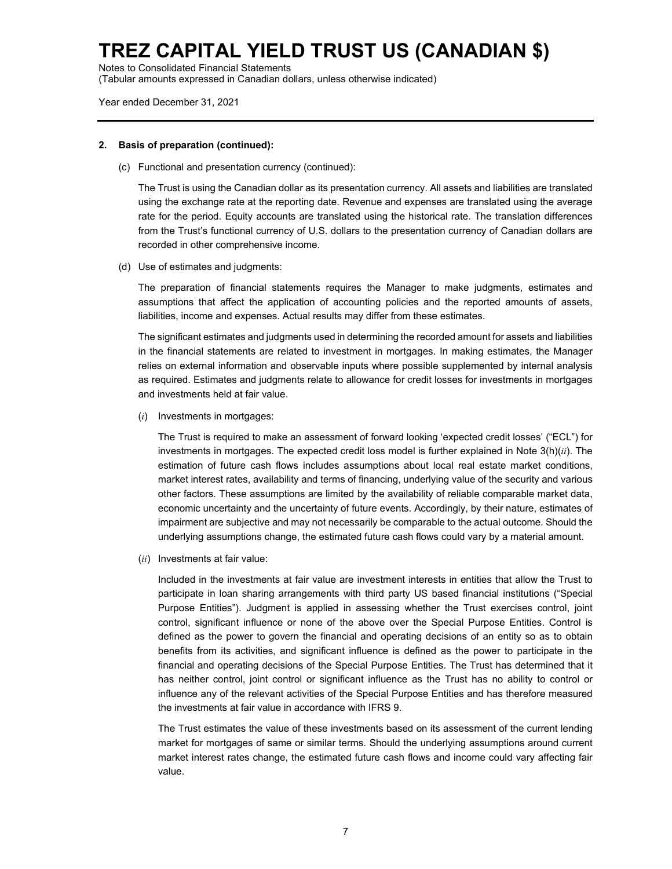Notes to Consolidated Financial Statements (Tabular amounts expressed in Canadian dollars, unless otherwise indicated)

Year ended December 31, 2021

### **2. Basis of preparation (continued):**

(c) Functional and presentation currency (continued):

The Trust is using the Canadian dollar as its presentation currency. All assets and liabilities are translated using the exchange rate at the reporting date. Revenue and expenses are translated using the average rate for the period. Equity accounts are translated using the historical rate. The translation differences from the Trust's functional currency of U.S. dollars to the presentation currency of Canadian dollars are recorded in other comprehensive income.

(d) Use of estimates and judgments:

The preparation of financial statements requires the Manager to make judgments, estimates and assumptions that affect the application of accounting policies and the reported amounts of assets, liabilities, income and expenses. Actual results may differ from these estimates.

The significant estimates and judgments used in determining the recorded amount for assets and liabilities in the financial statements are related to investment in mortgages. In making estimates, the Manager relies on external information and observable inputs where possible supplemented by internal analysis as required. Estimates and judgments relate to allowance for credit losses for investments in mortgages and investments held at fair value.

(*i*) Investments in mortgages:

The Trust is required to make an assessment of forward looking 'expected credit losses' ("ECL") for investments in mortgages. The expected credit loss model is further explained in Note 3(h)(*ii*). The estimation of future cash flows includes assumptions about local real estate market conditions, market interest rates, availability and terms of financing, underlying value of the security and various other factors. These assumptions are limited by the availability of reliable comparable market data, economic uncertainty and the uncertainty of future events. Accordingly, by their nature, estimates of impairment are subjective and may not necessarily be comparable to the actual outcome. Should the underlying assumptions change, the estimated future cash flows could vary by a material amount.

(*ii*) Investments at fair value:

Included in the investments at fair value are investment interests in entities that allow the Trust to participate in loan sharing arrangements with third party US based financial institutions ("Special Purpose Entities"). Judgment is applied in assessing whether the Trust exercises control, joint control, significant influence or none of the above over the Special Purpose Entities. Control is defined as the power to govern the financial and operating decisions of an entity so as to obtain benefits from its activities, and significant influence is defined as the power to participate in the financial and operating decisions of the Special Purpose Entities. The Trust has determined that it has neither control, joint control or significant influence as the Trust has no ability to control or influence any of the relevant activities of the Special Purpose Entities and has therefore measured the investments at fair value in accordance with IFRS 9.

The Trust estimates the value of these investments based on its assessment of the current lending market for mortgages of same or similar terms. Should the underlying assumptions around current market interest rates change, the estimated future cash flows and income could vary affecting fair value.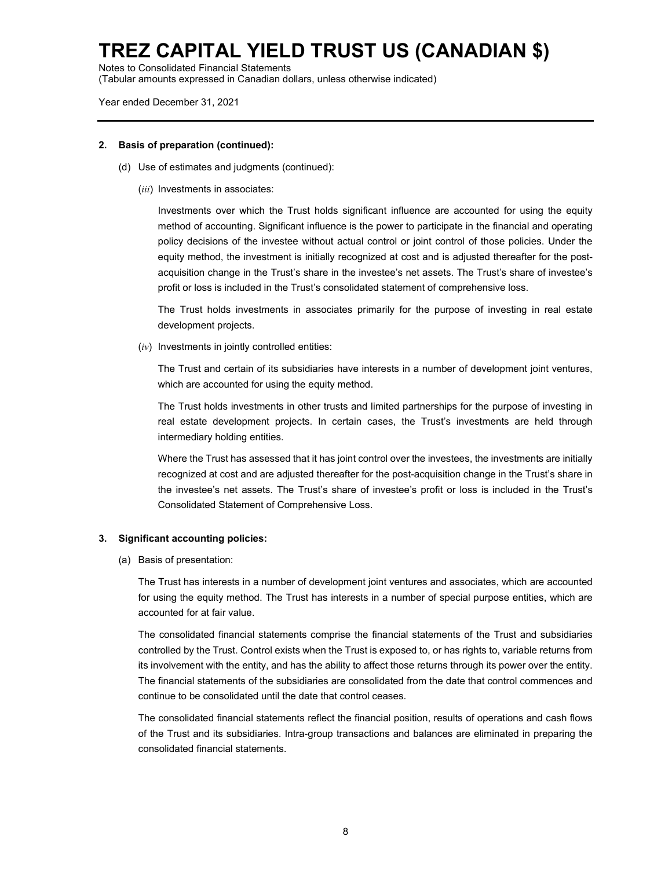Notes to Consolidated Financial Statements (Tabular amounts expressed in Canadian dollars, unless otherwise indicated)

Year ended December 31, 2021

### **2. Basis of preparation (continued):**

- (d) Use of estimates and judgments (continued):
	- (*iii*) Investments in associates:

Investments over which the Trust holds significant influence are accounted for using the equity method of accounting. Significant influence is the power to participate in the financial and operating policy decisions of the investee without actual control or joint control of those policies. Under the equity method, the investment is initially recognized at cost and is adjusted thereafter for the postacquisition change in the Trust's share in the investee's net assets. The Trust's share of investee's profit or loss is included in the Trust's consolidated statement of comprehensive loss.

The Trust holds investments in associates primarily for the purpose of investing in real estate development projects.

(*iv*) Investments in jointly controlled entities:

The Trust and certain of its subsidiaries have interests in a number of development joint ventures, which are accounted for using the equity method.

The Trust holds investments in other trusts and limited partnerships for the purpose of investing in real estate development projects. In certain cases, the Trust's investments are held through intermediary holding entities.

Where the Trust has assessed that it has joint control over the investees, the investments are initially recognized at cost and are adjusted thereafter for the post-acquisition change in the Trust's share in the investee's net assets. The Trust's share of investee's profit or loss is included in the Trust's Consolidated Statement of Comprehensive Loss.

### **3. Significant accounting policies:**

(a) Basis of presentation:

The Trust has interests in a number of development joint ventures and associates, which are accounted for using the equity method. The Trust has interests in a number of special purpose entities, which are accounted for at fair value.

The consolidated financial statements comprise the financial statements of the Trust and subsidiaries controlled by the Trust. Control exists when the Trust is exposed to, or has rights to, variable returns from its involvement with the entity, and has the ability to affect those returns through its power over the entity. The financial statements of the subsidiaries are consolidated from the date that control commences and continue to be consolidated until the date that control ceases.

The consolidated financial statements reflect the financial position, results of operations and cash flows of the Trust and its subsidiaries. Intra-group transactions and balances are eliminated in preparing the consolidated financial statements.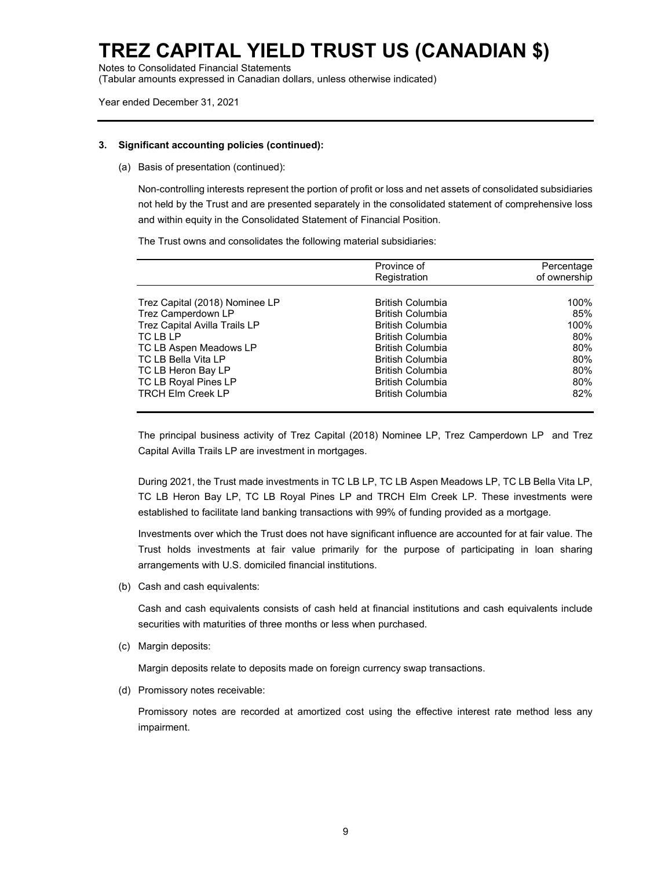Notes to Consolidated Financial Statements (Tabular amounts expressed in Canadian dollars, unless otherwise indicated)

Year ended December 31, 2021

#### **3. Significant accounting policies (continued):**

(a) Basis of presentation (continued):

Non-controlling interests represent the portion of profit or loss and net assets of consolidated subsidiaries not held by the Trust and are presented separately in the consolidated statement of comprehensive loss and within equity in the Consolidated Statement of Financial Position.

The Trust owns and consolidates the following material subsidiaries:

|                                | Province of<br>Registration | Percentage<br>of ownership |
|--------------------------------|-----------------------------|----------------------------|
|                                |                             |                            |
| Trez Capital (2018) Nominee LP | <b>British Columbia</b>     | 100%                       |
| Trez Camperdown LP             | <b>British Columbia</b>     | 85%                        |
| Trez Capital Avilla Trails LP  | <b>British Columbia</b>     | 100%                       |
| TC LB LP                       | <b>British Columbia</b>     | 80%                        |
| TC LB Aspen Meadows LP         | <b>British Columbia</b>     | 80%                        |
| TC LB Bella Vita LP            | <b>British Columbia</b>     | 80%                        |
| TC LB Heron Bay LP             | <b>British Columbia</b>     | 80%                        |
| TC LB Royal Pines LP           | <b>British Columbia</b>     | 80%                        |
| <b>TRCH Elm Creek LP</b>       | <b>British Columbia</b>     | 82%                        |

The principal business activity of Trez Capital (2018) Nominee LP, Trez Camperdown LP and Trez Capital Avilla Trails LP are investment in mortgages.

During 2021, the Trust made investments in TC LB LP, TC LB Aspen Meadows LP, TC LB Bella Vita LP, TC LB Heron Bay LP, TC LB Royal Pines LP and TRCH Elm Creek LP. These investments were established to facilitate land banking transactions with 99% of funding provided as a mortgage.

Investments over which the Trust does not have significant influence are accounted for at fair value. The Trust holds investments at fair value primarily for the purpose of participating in loan sharing arrangements with U.S. domiciled financial institutions.

(b) Cash and cash equivalents:

Cash and cash equivalents consists of cash held at financial institutions and cash equivalents include securities with maturities of three months or less when purchased.

(c) Margin deposits:

Margin deposits relate to deposits made on foreign currency swap transactions.

(d) Promissory notes receivable:

Promissory notes are recorded at amortized cost using the effective interest rate method less any impairment.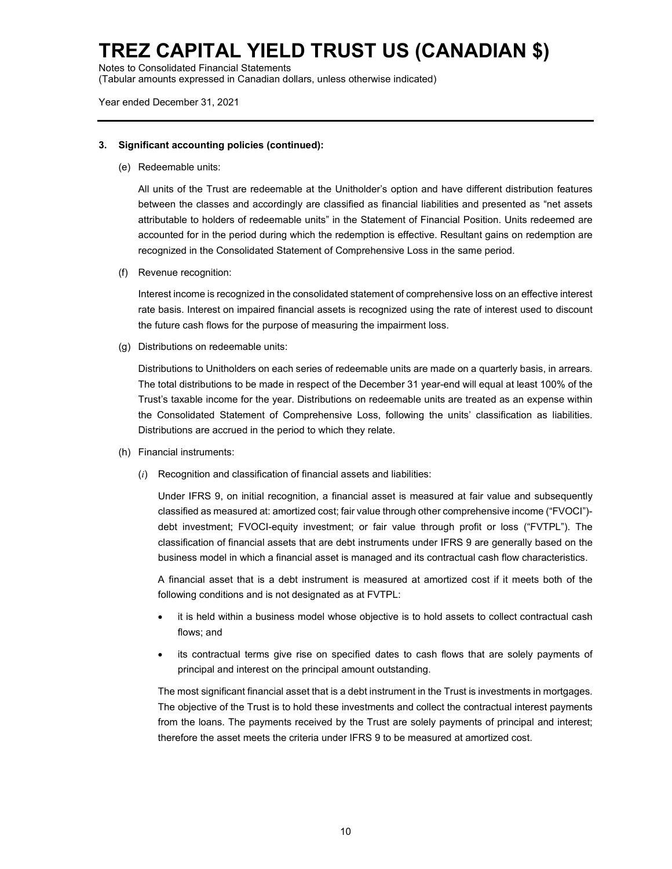Notes to Consolidated Financial Statements (Tabular amounts expressed in Canadian dollars, unless otherwise indicated)

### Year ended December 31, 2021

### **3. Significant accounting policies (continued):**

(e) Redeemable units:

All units of the Trust are redeemable at the Unitholder's option and have different distribution features between the classes and accordingly are classified as financial liabilities and presented as "net assets attributable to holders of redeemable units" in the Statement of Financial Position. Units redeemed are accounted for in the period during which the redemption is effective. Resultant gains on redemption are recognized in the Consolidated Statement of Comprehensive Loss in the same period.

(f) Revenue recognition:

Interest income is recognized in the consolidated statement of comprehensive loss on an effective interest rate basis. Interest on impaired financial assets is recognized using the rate of interest used to discount the future cash flows for the purpose of measuring the impairment loss.

(g) Distributions on redeemable units:

Distributions to Unitholders on each series of redeemable units are made on a quarterly basis, in arrears. The total distributions to be made in respect of the December 31 year-end will equal at least 100% of the Trust's taxable income for the year. Distributions on redeemable units are treated as an expense within the Consolidated Statement of Comprehensive Loss, following the units' classification as liabilities. Distributions are accrued in the period to which they relate.

- (h) Financial instruments:
	- (*i*) Recognition and classification of financial assets and liabilities:

Under IFRS 9, on initial recognition, a financial asset is measured at fair value and subsequently classified as measured at: amortized cost; fair value through other comprehensive income ("FVOCI") debt investment; FVOCI-equity investment; or fair value through profit or loss ("FVTPL"). The classification of financial assets that are debt instruments under IFRS 9 are generally based on the business model in which a financial asset is managed and its contractual cash flow characteristics.

A financial asset that is a debt instrument is measured at amortized cost if it meets both of the following conditions and is not designated as at FVTPL:

- it is held within a business model whose objective is to hold assets to collect contractual cash flows; and
- its contractual terms give rise on specified dates to cash flows that are solely payments of principal and interest on the principal amount outstanding.

The most significant financial asset that is a debt instrument in the Trust is investments in mortgages. The objective of the Trust is to hold these investments and collect the contractual interest payments from the loans. The payments received by the Trust are solely payments of principal and interest; therefore the asset meets the criteria under IFRS 9 to be measured at amortized cost.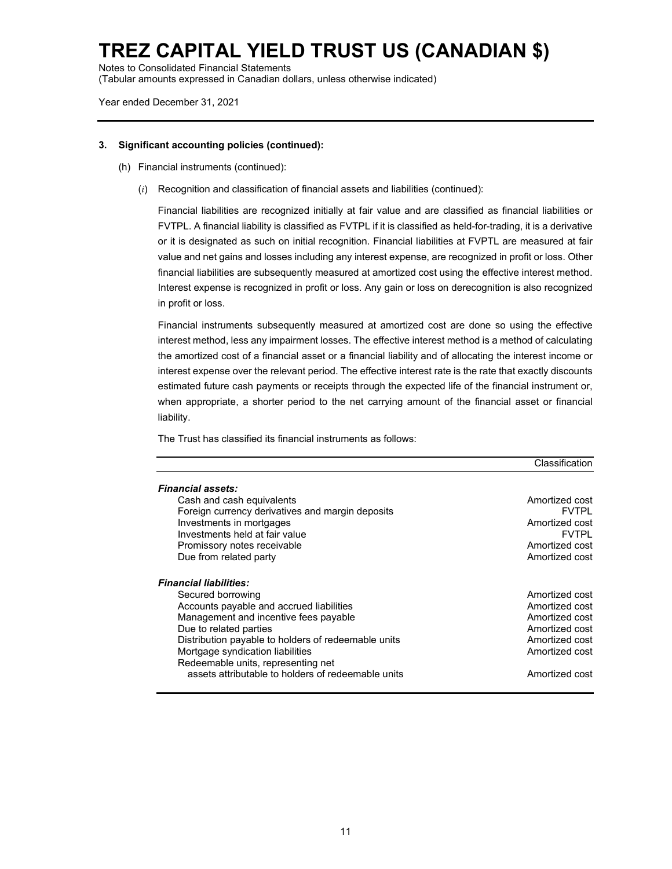Notes to Consolidated Financial Statements (Tabular amounts expressed in Canadian dollars, unless otherwise indicated)

Year ended December 31, 2021

### **3. Significant accounting policies (continued):**

- (h) Financial instruments (continued):
	- (*i*) Recognition and classification of financial assets and liabilities (continued):

Financial liabilities are recognized initially at fair value and are classified as financial liabilities or FVTPL. A financial liability is classified as FVTPL if it is classified as held-for-trading, it is a derivative or it is designated as such on initial recognition. Financial liabilities at FVPTL are measured at fair value and net gains and losses including any interest expense, are recognized in profit or loss. Other financial liabilities are subsequently measured at amortized cost using the effective interest method. Interest expense is recognized in profit or loss. Any gain or loss on derecognition is also recognized in profit or loss.

Financial instruments subsequently measured at amortized cost are done so using the effective interest method, less any impairment losses. The effective interest method is a method of calculating the amortized cost of a financial asset or a financial liability and of allocating the interest income or interest expense over the relevant period. The effective interest rate is the rate that exactly discounts estimated future cash payments or receipts through the expected life of the financial instrument or, when appropriate, a shorter period to the net carrying amount of the financial asset or financial liability.

The Trust has classified its financial instruments as follows:

|                                                     | Classification |
|-----------------------------------------------------|----------------|
| Financial assets:                                   |                |
| Cash and cash equivalents                           | Amortized cost |
| Foreign currency derivatives and margin deposits    | <b>FVTPI</b>   |
| Investments in mortgages                            | Amortized cost |
| Investments held at fair value                      | <b>FVTPI</b>   |
| Promissory notes receivable                         | Amortized cost |
| Due from related party                              | Amortized cost |
| <b>Financial liabilities:</b>                       |                |
| Secured borrowing                                   | Amortized cost |
| Accounts payable and accrued liabilities            | Amortized cost |
| Management and incentive fees payable               | Amortized cost |
| Due to related parties                              | Amortized cost |
| Distribution payable to holders of redeemable units | Amortized cost |
| Mortgage syndication liabilities                    | Amortized cost |
| Redeemable units, representing net                  |                |
| assets attributable to holders of redeemable units  | Amortized cost |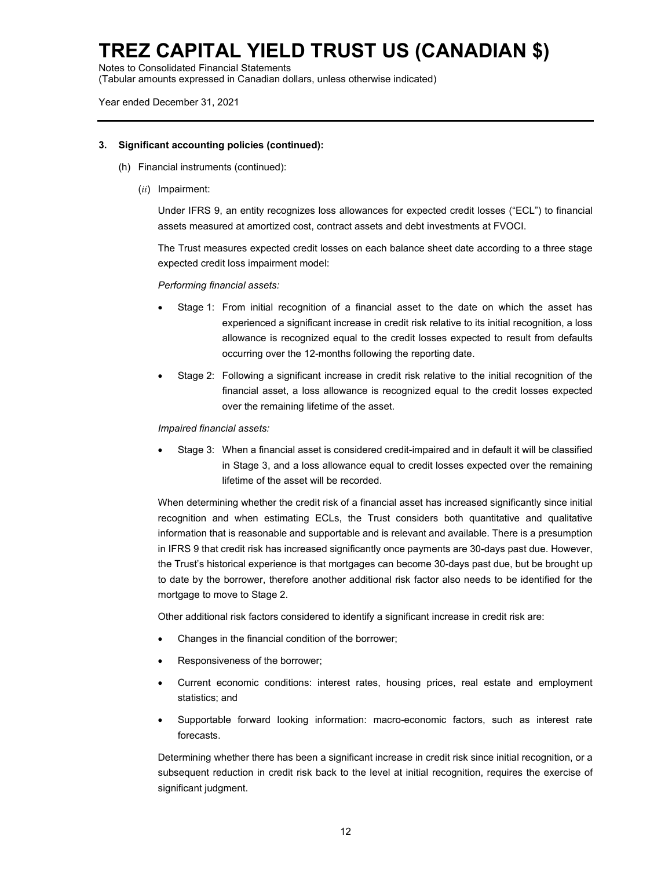Notes to Consolidated Financial Statements (Tabular amounts expressed in Canadian dollars, unless otherwise indicated)

Year ended December 31, 2021

### **3. Significant accounting policies (continued):**

- (h) Financial instruments (continued):
	- (*ii*) Impairment:

Under IFRS 9, an entity recognizes loss allowances for expected credit losses ("ECL") to financial assets measured at amortized cost, contract assets and debt investments at FVOCI.

The Trust measures expected credit losses on each balance sheet date according to a three stage expected credit loss impairment model:

#### *Performing financial assets:*

- Stage 1: From initial recognition of a financial asset to the date on which the asset has experienced a significant increase in credit risk relative to its initial recognition, a loss allowance is recognized equal to the credit losses expected to result from defaults occurring over the 12-months following the reporting date.
- Stage 2: Following a significant increase in credit risk relative to the initial recognition of the financial asset, a loss allowance is recognized equal to the credit losses expected over the remaining lifetime of the asset.

### *Impaired financial assets:*

• Stage 3: When a financial asset is considered credit-impaired and in default it will be classified in Stage 3, and a loss allowance equal to credit losses expected over the remaining lifetime of the asset will be recorded.

When determining whether the credit risk of a financial asset has increased significantly since initial recognition and when estimating ECLs, the Trust considers both quantitative and qualitative information that is reasonable and supportable and is relevant and available. There is a presumption in IFRS 9 that credit risk has increased significantly once payments are 30-days past due. However, the Trust's historical experience is that mortgages can become 30-days past due, but be brought up to date by the borrower, therefore another additional risk factor also needs to be identified for the mortgage to move to Stage 2.

Other additional risk factors considered to identify a significant increase in credit risk are:

- Changes in the financial condition of the borrower;
- Responsiveness of the borrower;
- Current economic conditions: interest rates, housing prices, real estate and employment statistics; and
- Supportable forward looking information: macro-economic factors, such as interest rate forecasts.

Determining whether there has been a significant increase in credit risk since initial recognition, or a subsequent reduction in credit risk back to the level at initial recognition, requires the exercise of significant judgment.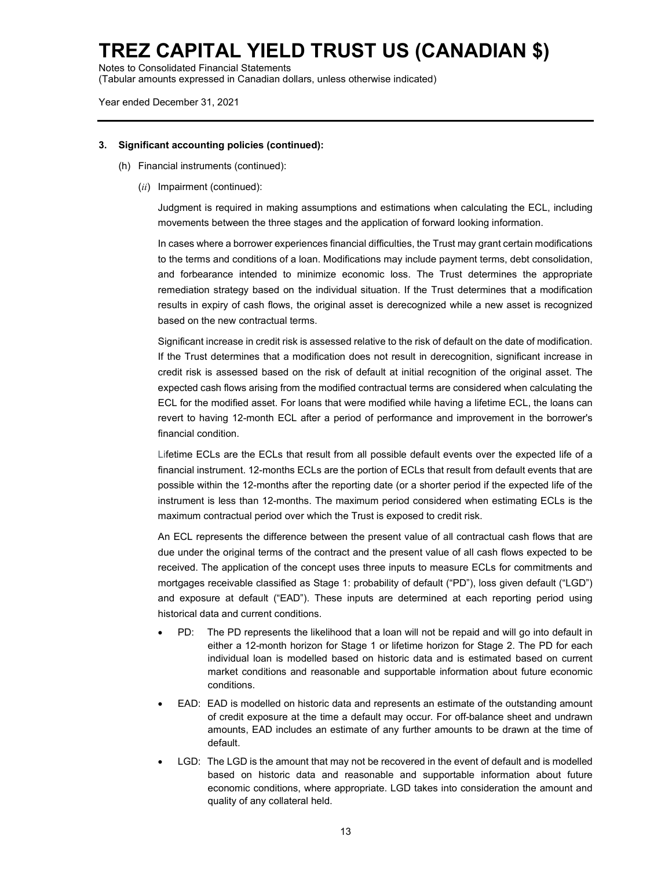Notes to Consolidated Financial Statements (Tabular amounts expressed in Canadian dollars, unless otherwise indicated)

Year ended December 31, 2021

### **3. Significant accounting policies (continued):**

- (h) Financial instruments (continued):
	- (*ii*) Impairment (continued):

Judgment is required in making assumptions and estimations when calculating the ECL, including movements between the three stages and the application of forward looking information.

In cases where a borrower experiences financial difficulties, the Trust may grant certain modifications to the terms and conditions of a loan. Modifications may include payment terms, debt consolidation, and forbearance intended to minimize economic loss. The Trust determines the appropriate remediation strategy based on the individual situation. If the Trust determines that a modification results in expiry of cash flows, the original asset is derecognized while a new asset is recognized based on the new contractual terms.

Significant increase in credit risk is assessed relative to the risk of default on the date of modification. If the Trust determines that a modification does not result in derecognition, significant increase in credit risk is assessed based on the risk of default at initial recognition of the original asset. The expected cash flows arising from the modified contractual terms are considered when calculating the ECL for the modified asset. For loans that were modified while having a lifetime ECL, the loans can revert to having 12-month ECL after a period of performance and improvement in the borrower's financial condition.

Lifetime ECLs are the ECLs that result from all possible default events over the expected life of a financial instrument. 12-months ECLs are the portion of ECLs that result from default events that are possible within the 12-months after the reporting date (or a shorter period if the expected life of the instrument is less than 12-months. The maximum period considered when estimating ECLs is the maximum contractual period over which the Trust is exposed to credit risk.

An ECL represents the difference between the present value of all contractual cash flows that are due under the original terms of the contract and the present value of all cash flows expected to be received. The application of the concept uses three inputs to measure ECLs for commitments and mortgages receivable classified as Stage 1: probability of default ("PD"), loss given default ("LGD") and exposure at default ("EAD"). These inputs are determined at each reporting period using historical data and current conditions.

- PD: The PD represents the likelihood that a loan will not be repaid and will go into default in either a 12-month horizon for Stage 1 or lifetime horizon for Stage 2. The PD for each individual loan is modelled based on historic data and is estimated based on current market conditions and reasonable and supportable information about future economic conditions.
- EAD: EAD is modelled on historic data and represents an estimate of the outstanding amount of credit exposure at the time a default may occur. For off-balance sheet and undrawn amounts, EAD includes an estimate of any further amounts to be drawn at the time of default.
- LGD: The LGD is the amount that may not be recovered in the event of default and is modelled based on historic data and reasonable and supportable information about future economic conditions, where appropriate. LGD takes into consideration the amount and quality of any collateral held.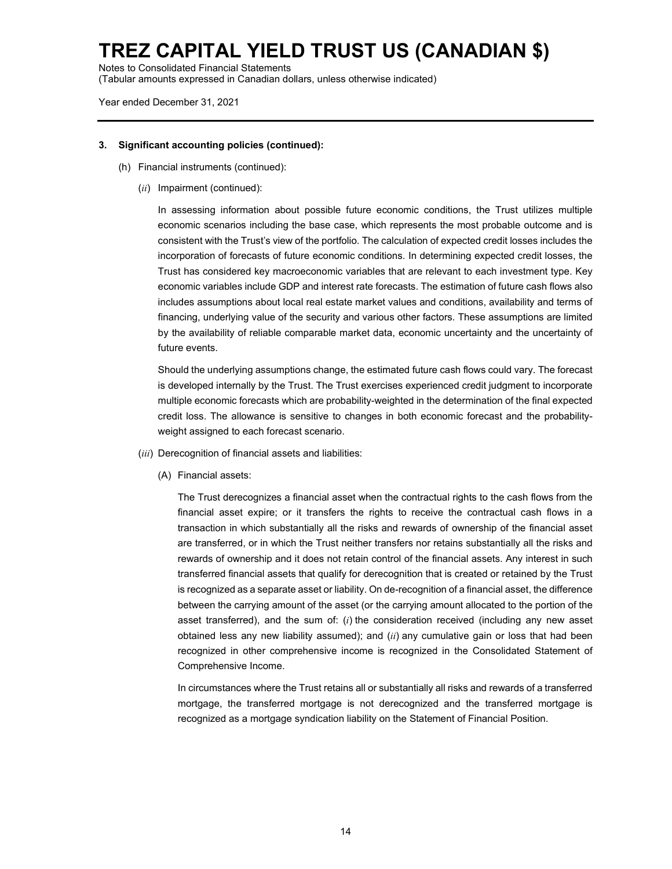Notes to Consolidated Financial Statements (Tabular amounts expressed in Canadian dollars, unless otherwise indicated)

Year ended December 31, 2021

### **3. Significant accounting policies (continued):**

- (h) Financial instruments (continued):
	- (*ii*) Impairment (continued):

In assessing information about possible future economic conditions, the Trust utilizes multiple economic scenarios including the base case, which represents the most probable outcome and is consistent with the Trust's view of the portfolio. The calculation of expected credit losses includes the incorporation of forecasts of future economic conditions. In determining expected credit losses, the Trust has considered key macroeconomic variables that are relevant to each investment type. Key economic variables include GDP and interest rate forecasts. The estimation of future cash flows also includes assumptions about local real estate market values and conditions, availability and terms of financing, underlying value of the security and various other factors. These assumptions are limited by the availability of reliable comparable market data, economic uncertainty and the uncertainty of future events.

Should the underlying assumptions change, the estimated future cash flows could vary. The forecast is developed internally by the Trust. The Trust exercises experienced credit judgment to incorporate multiple economic forecasts which are probability-weighted in the determination of the final expected credit loss. The allowance is sensitive to changes in both economic forecast and the probabilityweight assigned to each forecast scenario.

- (*iii*) Derecognition of financial assets and liabilities:
	- (A) Financial assets:

The Trust derecognizes a financial asset when the contractual rights to the cash flows from the financial asset expire; or it transfers the rights to receive the contractual cash flows in a transaction in which substantially all the risks and rewards of ownership of the financial asset are transferred, or in which the Trust neither transfers nor retains substantially all the risks and rewards of ownership and it does not retain control of the financial assets. Any interest in such transferred financial assets that qualify for derecognition that is created or retained by the Trust is recognized as a separate asset or liability. On de-recognition of a financial asset, the difference between the carrying amount of the asset (or the carrying amount allocated to the portion of the asset transferred), and the sum of: (*i*) the consideration received (including any new asset obtained less any new liability assumed); and (*ii*) any cumulative gain or loss that had been recognized in other comprehensive income is recognized in the Consolidated Statement of Comprehensive Income.

In circumstances where the Trust retains all or substantially all risks and rewards of a transferred mortgage, the transferred mortgage is not derecognized and the transferred mortgage is recognized as a mortgage syndication liability on the Statement of Financial Position.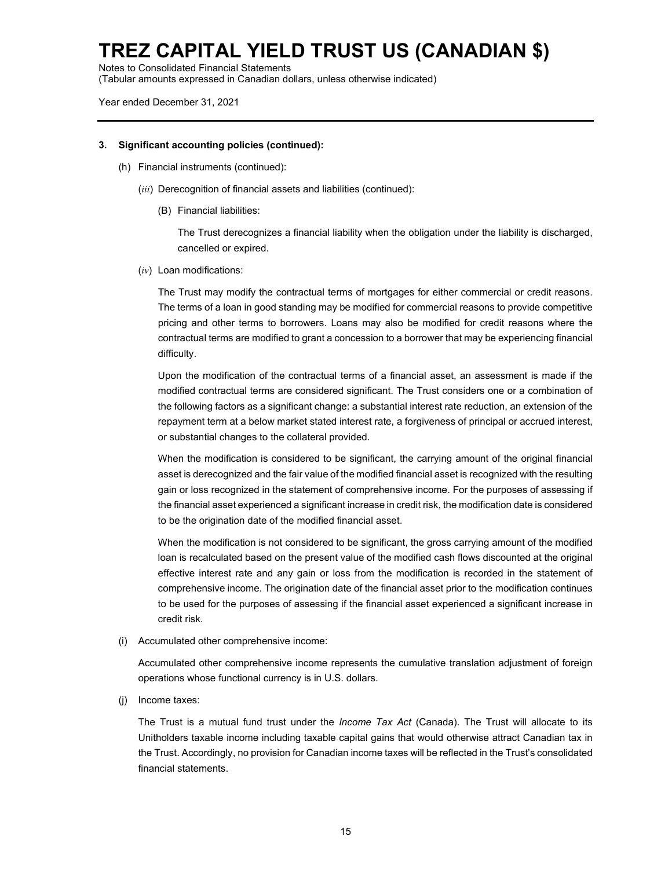Notes to Consolidated Financial Statements (Tabular amounts expressed in Canadian dollars, unless otherwise indicated)

Year ended December 31, 2021

### **3. Significant accounting policies (continued):**

- (h) Financial instruments (continued):
	- (*iii*) Derecognition of financial assets and liabilities (continued):
		- (B) Financial liabilities:

The Trust derecognizes a financial liability when the obligation under the liability is discharged, cancelled or expired.

(*iv*) Loan modifications:

The Trust may modify the contractual terms of mortgages for either commercial or credit reasons. The terms of a loan in good standing may be modified for commercial reasons to provide competitive pricing and other terms to borrowers. Loans may also be modified for credit reasons where the contractual terms are modified to grant a concession to a borrower that may be experiencing financial difficulty.

Upon the modification of the contractual terms of a financial asset, an assessment is made if the modified contractual terms are considered significant. The Trust considers one or a combination of the following factors as a significant change: a substantial interest rate reduction, an extension of the repayment term at a below market stated interest rate, a forgiveness of principal or accrued interest, or substantial changes to the collateral provided.

When the modification is considered to be significant, the carrying amount of the original financial asset is derecognized and the fair value of the modified financial asset is recognized with the resulting gain or loss recognized in the statement of comprehensive income. For the purposes of assessing if the financial asset experienced a significant increase in credit risk, the modification date is considered to be the origination date of the modified financial asset.

When the modification is not considered to be significant, the gross carrying amount of the modified loan is recalculated based on the present value of the modified cash flows discounted at the original effective interest rate and any gain or loss from the modification is recorded in the statement of comprehensive income. The origination date of the financial asset prior to the modification continues to be used for the purposes of assessing if the financial asset experienced a significant increase in credit risk.

(i) Accumulated other comprehensive income:

Accumulated other comprehensive income represents the cumulative translation adjustment of foreign operations whose functional currency is in U.S. dollars.

(j) Income taxes:

The Trust is a mutual fund trust under the *Income Tax Act* (Canada). The Trust will allocate to its Unitholders taxable income including taxable capital gains that would otherwise attract Canadian tax in the Trust. Accordingly, no provision for Canadian income taxes will be reflected in the Trust's consolidated financial statements.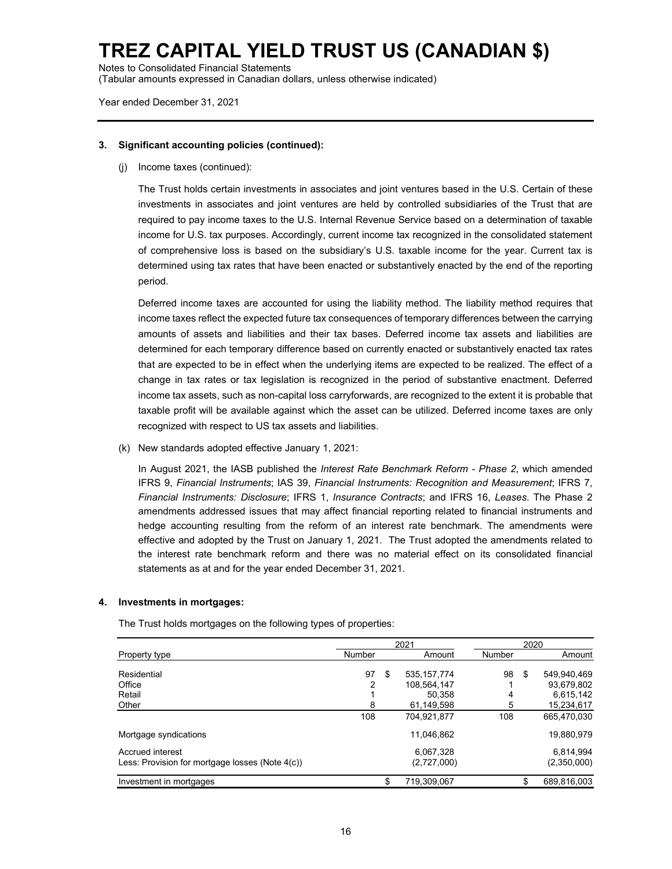Notes to Consolidated Financial Statements (Tabular amounts expressed in Canadian dollars, unless otherwise indicated)

Year ended December 31, 2021

### **3. Significant accounting policies (continued):**

(j) Income taxes (continued):

The Trust holds certain investments in associates and joint ventures based in the U.S. Certain of these investments in associates and joint ventures are held by controlled subsidiaries of the Trust that are required to pay income taxes to the U.S. Internal Revenue Service based on a determination of taxable income for U.S. tax purposes. Accordingly, current income tax recognized in the consolidated statement of comprehensive loss is based on the subsidiary's U.S. taxable income for the year. Current tax is determined using tax rates that have been enacted or substantively enacted by the end of the reporting period.

Deferred income taxes are accounted for using the liability method. The liability method requires that income taxes reflect the expected future tax consequences of temporary differences between the carrying amounts of assets and liabilities and their tax bases. Deferred income tax assets and liabilities are determined for each temporary difference based on currently enacted or substantively enacted tax rates that are expected to be in effect when the underlying items are expected to be realized. The effect of a change in tax rates or tax legislation is recognized in the period of substantive enactment. Deferred income tax assets, such as non-capital loss carryforwards, are recognized to the extent it is probable that taxable profit will be available against which the asset can be utilized. Deferred income taxes are only recognized with respect to US tax assets and liabilities.

(k) New standards adopted effective January 1, 2021:

In August 2021, the IASB published the *Interest Rate Benchmark Reform - Phase 2*, which amended IFRS 9, *Financial Instruments*; IAS 39, *Financial Instruments: Recognition and Measurement*; IFRS 7, *Financial Instruments: Disclosure*; IFRS 1, *Insurance Contracts*; and IFRS 16, *Leases*. The Phase 2 amendments addressed issues that may affect financial reporting related to financial instruments and hedge accounting resulting from the reform of an interest rate benchmark. The amendments were effective and adopted by the Trust on January 1, 2021. The Trust adopted the amendments related to the interest rate benchmark reform and there was no material effect on its consolidated financial statements as at and for the year ended December 31, 2021.

#### **4. Investments in mortgages:**

The Trust holds mortgages on the following types of properties:

|                                                                     | 2021    |    |                                      | 2020    |    |                                        |
|---------------------------------------------------------------------|---------|----|--------------------------------------|---------|----|----------------------------------------|
| Property type                                                       | Number  |    | Amount                               | Number  |    | Amount                                 |
| Residential<br>Office<br>Retail                                     | 97<br>2 | \$ | 535.157.774<br>108,564,147<br>50.358 | 98<br>4 | \$ | 549.940.469<br>93,679,802<br>6,615,142 |
| Other                                                               | 8       |    | 61.149.598                           | 5       |    | 15,234,617                             |
|                                                                     | 108     |    | 704.921.877                          | 108     |    | 665.470.030                            |
| Mortgage syndications                                               |         |    | 11,046,862                           |         |    | 19,880,979                             |
| Accrued interest<br>Less: Provision for mortgage losses (Note 4(c)) |         |    | 6,067,328<br>(2,727,000)             |         |    | 6.814.994<br>(2,350,000)               |
| Investment in mortgages                                             |         | \$ | 719.309.067                          |         | \$ | 689,816,003                            |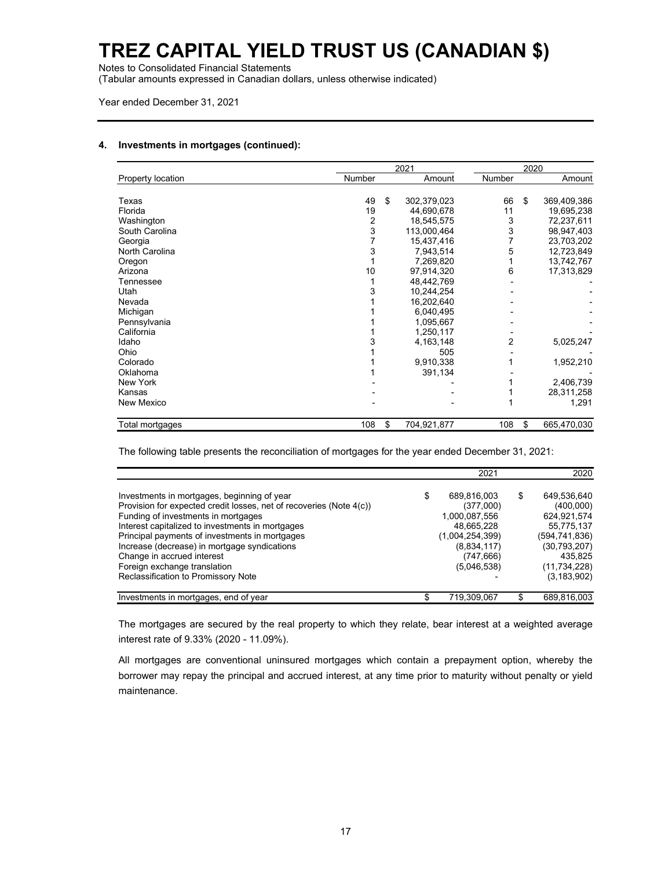Notes to Consolidated Financial Statements

(Tabular amounts expressed in Canadian dollars, unless otherwise indicated)

Year ended December 31, 2021

### **4. Investments in mortgages (continued):**

| 2021              |        |    |             | 2020           |    |             |
|-------------------|--------|----|-------------|----------------|----|-------------|
| Property location | Number |    | Amount      | Number         |    | Amount      |
|                   |        |    |             |                |    |             |
| Texas             | 49     | \$ | 302,379,023 | 66             | \$ | 369,409,386 |
| Florida           | 19     |    | 44,690,678  | 11             |    | 19,695,238  |
| Washington        | 2      |    | 18,545,575  | 3              |    | 72,237,611  |
| South Carolina    | 3      |    | 113,000,464 | 3              |    | 98,947,403  |
| Georgia           |        |    | 15,437,416  |                |    | 23,703,202  |
| North Carolina    | 3      |    | 7,943,514   | 5              |    | 12,723,849  |
| Oregon            |        |    | 7,269,820   |                |    | 13,742,767  |
| Arizona           | 10     |    | 97,914,320  | 6              |    | 17,313,829  |
| Tennessee         |        |    | 48,442,769  |                |    |             |
| Utah              | 3      |    | 10,244,254  |                |    |             |
| Nevada            |        |    | 16,202,640  |                |    |             |
| Michigan          |        |    | 6,040,495   |                |    |             |
| Pennsylvania      |        |    | 1,095,667   |                |    |             |
| California        |        |    | 1,250,117   |                |    |             |
| Idaho             |        |    | 4,163,148   | $\overline{2}$ |    | 5,025,247   |
| Ohio              |        |    | 505         |                |    |             |
| Colorado          |        |    | 9,910,338   |                |    | 1,952,210   |
| Oklahoma          |        |    | 391,134     |                |    |             |
| New York          |        |    |             |                |    | 2,406,739   |
| Kansas            |        |    |             |                |    | 28,311,258  |
| New Mexico        |        |    |             |                |    | 1,291       |
| Total mortgages   | 108    | \$ | 704,921,877 | 108            | \$ | 665,470,030 |

The following table presents the reconciliation of mortgages for the year ended December 31, 2021:

|                                                                     | 2021              |   | 2020            |
|---------------------------------------------------------------------|-------------------|---|-----------------|
| Investments in mortgages, beginning of year                         | \$<br>689,816,003 | S | 649,536,640     |
| Provision for expected credit losses, net of recoveries (Note 4(c)) | (377,000)         |   | (400,000)       |
| Funding of investments in mortgages                                 | 1,000,087,556     |   | 624,921,574     |
| Interest capitalized to investments in mortgages                    | 48,665,228        |   | 55,775,137      |
| Principal payments of investments in mortgages                      | (1,004,254,399)   |   | (594, 741, 836) |
| Increase (decrease) in mortgage syndications                        | (8,834,117)       |   | (30, 793, 207)  |
| Change in accrued interest                                          | (747, 666)        |   | 435,825         |
| Foreign exchange translation                                        | (5,046,538)       |   | (11, 734, 228)  |
| Reclassification to Promissory Note                                 |                   |   | (3, 183, 902)   |
| Investments in mortgages, end of year                               | 719,309,067       |   | 689,816,003     |

The mortgages are secured by the real property to which they relate, bear interest at a weighted average interest rate of 9.33% (2020 - 11.09%).

All mortgages are conventional uninsured mortgages which contain a prepayment option, whereby the borrower may repay the principal and accrued interest, at any time prior to maturity without penalty or yield maintenance.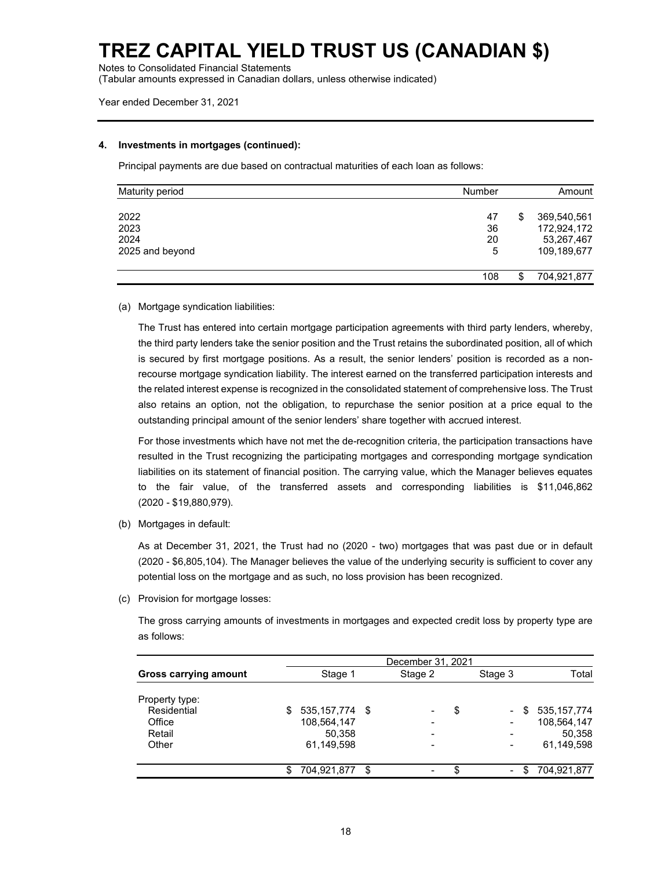Notes to Consolidated Financial Statements (Tabular amounts expressed in Canadian dollars, unless otherwise indicated)

### Year ended December 31, 2021

#### **4. Investments in mortgages (continued):**

Principal payments are due based on contractual maturities of each loan as follows:

| Maturity period | Number | Amount      |
|-----------------|--------|-------------|
| 2022            | 47     | 369,540,561 |
| 2023            | 36     | 172,924,172 |
| 2024            | 20     | 53,267,467  |
| 2025 and beyond | 5      | 109,189,677 |
|                 | 108    | 704,921,877 |

#### (a) Mortgage syndication liabilities:

The Trust has entered into certain mortgage participation agreements with third party lenders, whereby, the third party lenders take the senior position and the Trust retains the subordinated position, all of which is secured by first mortgage positions. As a result, the senior lenders' position is recorded as a nonrecourse mortgage syndication liability. The interest earned on the transferred participation interests and the related interest expense is recognized in the consolidated statement of comprehensive loss. The Trust also retains an option, not the obligation, to repurchase the senior position at a price equal to the outstanding principal amount of the senior lenders' share together with accrued interest.

For those investments which have not met the de-recognition criteria, the participation transactions have resulted in the Trust recognizing the participating mortgages and corresponding mortgage syndication liabilities on its statement of financial position. The carrying value, which the Manager believes equates to the fair value, of the transferred assets and corresponding liabilities is \$11,046,862 (2020 - \$19,880,979).

(b) Mortgages in default:

As at December 31, 2021, the Trust had no (2020 - two) mortgages that was past due or in default (2020 - \$6,805,104). The Manager believes the value of the underlying security is sufficient to cover any potential loss on the mortgage and as such, no loss provision has been recognized.

(c) Provision for mortgage losses:

The gross carrying amounts of investments in mortgages and expected credit loss by property type are as follows:

|                       |     | December 31, 2021 |     |         |    |         |     |               |
|-----------------------|-----|-------------------|-----|---------|----|---------|-----|---------------|
| Gross carrying amount |     | Stage 1           |     | Stage 2 |    | Stage 3 |     | Total         |
| Property type:        |     |                   |     |         |    |         |     |               |
| Residential           | \$. | 535, 157, 774 \$  |     |         | \$ |         | \$. | 535, 157, 774 |
| Office                |     | 108,564,147       |     |         |    |         |     | 108,564,147   |
| Retail                |     | 50,358            |     |         |    |         |     | 50,358        |
| Other                 |     | 61,149,598        |     |         |    |         |     | 61,149,598    |
|                       |     | 704,921,877       | -\$ |         |    |         | S   | 704,921,877   |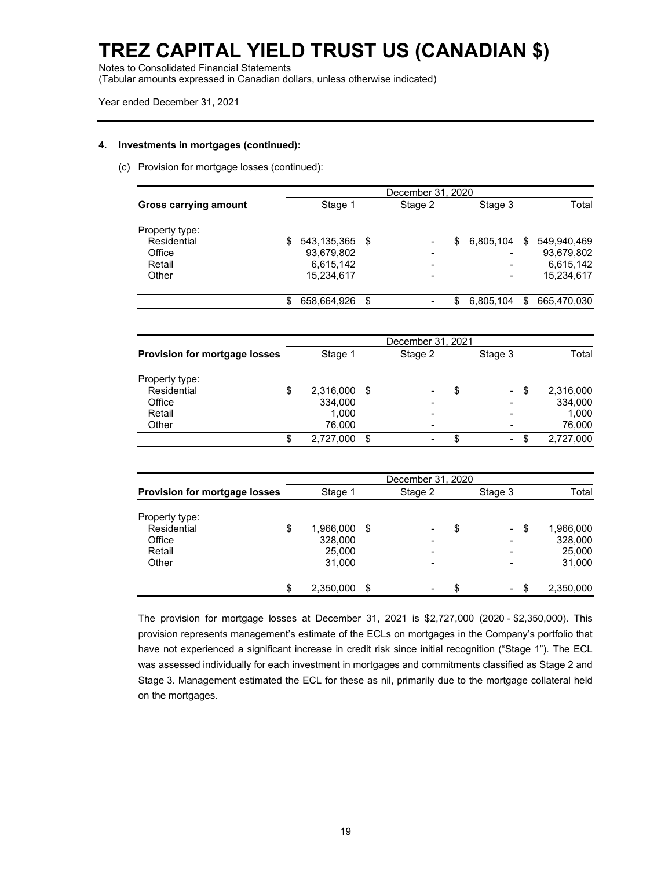Notes to Consolidated Financial Statements

(Tabular amounts expressed in Canadian dollars, unless otherwise indicated)

Year ended December 31, 2021

#### **4. Investments in mortgages (continued):**

(c) Provision for mortgage losses (continued):

|                       |                   | December 31, 2020                                                                                                                                       |    |           |                   |
|-----------------------|-------------------|---------------------------------------------------------------------------------------------------------------------------------------------------------|----|-----------|-------------------|
| Gross carrying amount | Stage 1           | Stage 2                                                                                                                                                 |    | Stage 3   | Total             |
| Property type:        |                   |                                                                                                                                                         |    |           |                   |
| Residential           | 543,135,365 \$    | $\blacksquare$                                                                                                                                          | \$ | 6,805,104 | \$<br>549,940,469 |
| Office                | 93,679,802        | $\,$                                                                                                                                                    |    |           | 93,679,802        |
| Retail                | 6,615,142         | $\qquad \qquad$                                                                                                                                         |    |           | 6,615,142         |
| Other                 | 15,234,617        | $\qquad \qquad$                                                                                                                                         |    |           | 15,234,617        |
|                       | \$<br>658,664,926 | \$<br>$\hskip1.6pt\hskip1.6pt\hskip1.6pt\hskip1.6pt\hskip1.6pt\hskip1.6pt\hskip1.6pt\hskip1.6pt\hskip1.6pt\hskip1.6pt\hskip1.6pt\hskip1.6pt\hskip1.6pt$ | S  | 6,805,104 | \$<br>665,470,030 |

|                                      |                 |      | December 31, 2021        |                      |     |           |
|--------------------------------------|-----------------|------|--------------------------|----------------------|-----|-----------|
| <b>Provision for mortgage losses</b> | Stage 1         |      | Stage 2                  | Stage 3              |     | Total     |
| Property type:                       |                 |      |                          |                      |     |           |
| Residential                          | \$<br>2,316,000 | - \$ |                          | \$<br>$\blacksquare$ | -\$ | 2,316,000 |
| Office                               | 334,000         |      | $\overline{\phantom{0}}$ | -                    |     | 334,000   |
| Retail                               | 1.000           |      |                          |                      |     | 1.000     |
| Other                                | 76,000          |      | $\overline{\phantom{0}}$ | -                    |     | 76,000    |
|                                      | \$<br>2,727,000 | \$   | $\overline{\phantom{0}}$ | \$<br>$\blacksquare$ | S   | 2,727,000 |

|                                      |                 |      | December 31, 2020        |                                |     |           |
|--------------------------------------|-----------------|------|--------------------------|--------------------------------|-----|-----------|
| <b>Provision for mortgage losses</b> | Stage 1         |      | Stage 2                  | Stage 3                        |     | Total     |
| Property type:                       |                 |      |                          |                                |     |           |
| Residential                          | \$<br>1,966,000 | - \$ |                          | \$<br>$\overline{\phantom{0}}$ | -\$ | 1,966,000 |
| Office                               | 328,000         |      | $\blacksquare$           | -                              |     | 328,000   |
| Retail                               | 25,000          |      | $\qquad \qquad$          | -                              |     | 25,000    |
| Other                                | 31,000          |      | $\overline{\phantom{a}}$ |                                |     | 31,000    |
|                                      | \$<br>2,350,000 | \$   | $\blacksquare$           | \$<br>$\overline{\phantom{0}}$ | S   | 2,350,000 |

The provision for mortgage losses at December 31, 2021 is \$2,727,000 (2020 - \$2,350,000). This provision represents management's estimate of the ECLs on mortgages in the Company's portfolio that have not experienced a significant increase in credit risk since initial recognition ("Stage 1"). The ECL was assessed individually for each investment in mortgages and commitments classified as Stage 2 and Stage 3. Management estimated the ECL for these as nil, primarily due to the mortgage collateral held on the mortgages.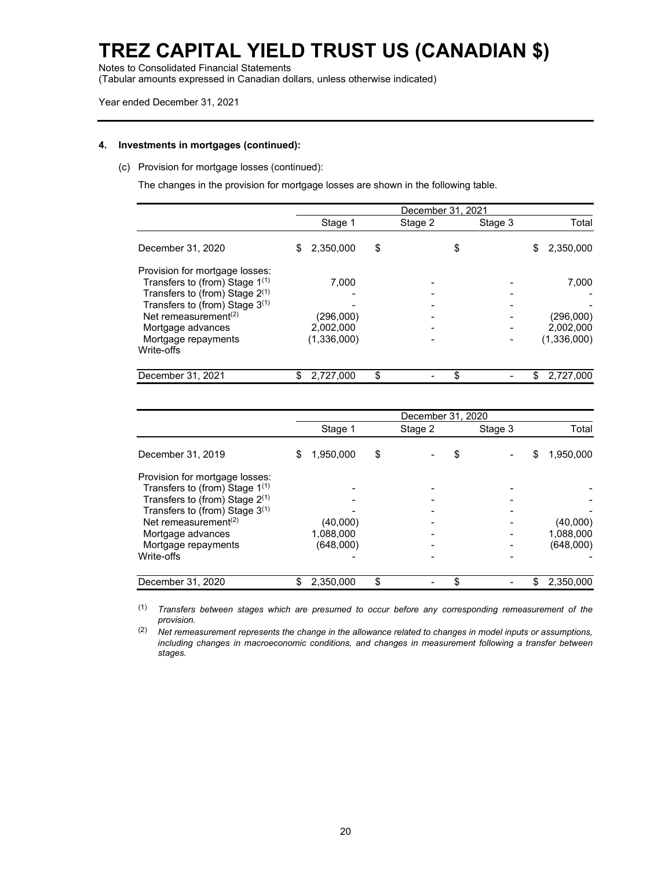Notes to Consolidated Financial Statements

(Tabular amounts expressed in Canadian dollars, unless otherwise indicated)

Year ended December 31, 2021

#### **4. Investments in mortgages (continued):**

(c) Provision for mortgage losses (continued):

The changes in the provision for mortgage losses are shown in the following table.

|                                                                                                                                                                                                                                       |                                                | December 31, 2021 |         |                                                |
|---------------------------------------------------------------------------------------------------------------------------------------------------------------------------------------------------------------------------------------|------------------------------------------------|-------------------|---------|------------------------------------------------|
|                                                                                                                                                                                                                                       | Stage 1                                        | Stage 2           | Stage 3 | Total                                          |
| December 31, 2020                                                                                                                                                                                                                     | \$<br>2,350,000                                | \$                | \$      | 2,350,000                                      |
| Provision for mortgage losses:<br>Transfers to (from) Stage 1 <sup>(1)</sup><br>Transfers to (from) Stage 2(1)<br>Transfers to (from) Stage 3(1)<br>Net remeasurement $(2)$<br>Mortgage advances<br>Mortgage repayments<br>Write-offs | 7.000<br>(296,000)<br>2,002,000<br>(1,336,000) |                   |         | 7,000<br>(296,000)<br>2,002,000<br>(1,336,000) |
| December 31, 2021                                                                                                                                                                                                                     | \$<br>2,727,000                                | \$                | \$      | 2,727,000                                      |

|                                                                       |                        | December 31, 2020 |         |                        |
|-----------------------------------------------------------------------|------------------------|-------------------|---------|------------------------|
|                                                                       | Stage 1                | Stage 2           | Stage 3 | Total                  |
| December 31, 2019                                                     | \$<br>1,950,000        | \$                |         | \$<br>1,950,000        |
| Provision for mortgage losses:<br>Transfers to (from) Stage 1(1)      |                        |                   |         |                        |
| Transfers to (from) Stage $2^{(1)}$<br>Transfers to (from) Stage 3(1) |                        |                   |         |                        |
| Net remeasurement <sup>(2)</sup>                                      | (40.000)               |                   |         | (40,000)               |
| Mortgage advances<br>Mortgage repayments                              | 1,088,000<br>(648,000) |                   |         | 1,088,000<br>(648,000) |
| Write-offs                                                            |                        |                   |         |                        |
| December 31, 2020                                                     | \$<br>2,350,000        | \$                |         | 2,350,000              |

(1) *Transfers between stages which are presumed to occur before any corresponding remeasurement of the provision.*

(2) *Net remeasurement represents the change in the allowance related to changes in model inputs or assumptions, including changes in macroeconomic conditions, and changes in measurement following a transfer between stages.*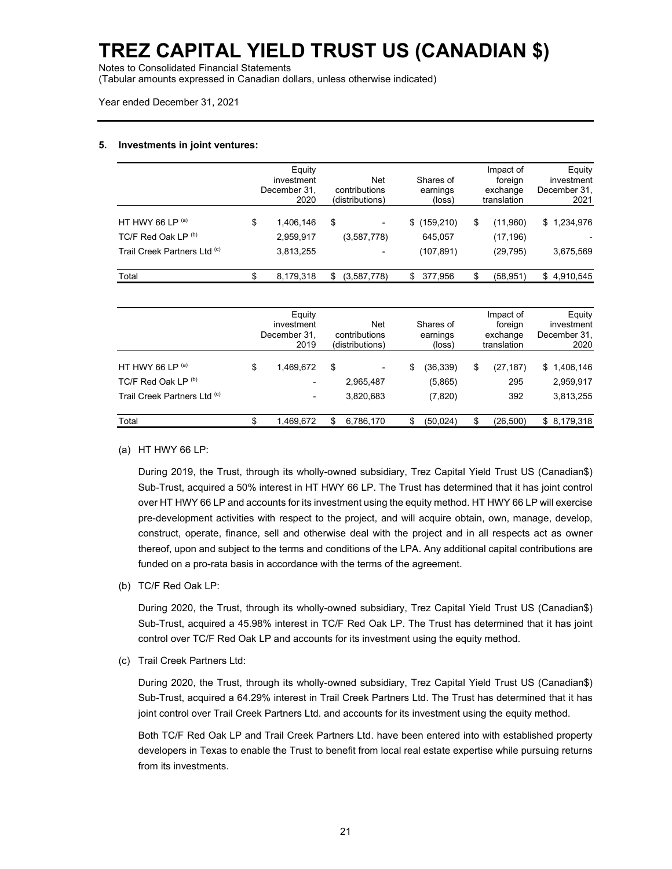Notes to Consolidated Financial Statements

(Tabular amounts expressed in Canadian dollars, unless otherwise indicated)

Year ended December 31, 2021

#### **5. Investments in joint ventures:**

|                              | Equity<br>investment<br>December 31,<br>2020 |           |     | <b>Net</b><br>contributions<br>(distributions) | Shares of<br>earnings<br>(loss) |             |    | Impact of<br>foreign<br>exchange<br>translation |  |             |
|------------------------------|----------------------------------------------|-----------|-----|------------------------------------------------|---------------------------------|-------------|----|-------------------------------------------------|--|-------------|
| HT HWY 66 LP $(a)$           | \$                                           | 1,406,146 | \$  | ٠                                              |                                 | \$(159,210) | \$ | (11,960)                                        |  | \$1,234,976 |
| TC/F Red Oak LP (b)          |                                              | 2,959,917 |     | (3,587,778)                                    |                                 | 645,057     |    | (17, 196)                                       |  |             |
| Trail Creek Partners Ltd (c) |                                              | 3,813,255 |     |                                                |                                 | (107,891)   |    | (29, 795)                                       |  | 3,675,569   |
| Total                        | ¢                                            | 8,179,318 | \$. | (3,587,778)                                    | \$                              | 377,956     | \$ | (58, 951)                                       |  | \$4,910,545 |

|                              | Equity<br>investment<br>December 31,<br>2019 | <b>Net</b><br>contributions<br>(distributions) | Shares of<br>earnings<br>(loss) |           |    | Impact of<br>foreign<br>exchange<br>translation | Equity<br>investment<br>December 31,<br>2020 |             |  |
|------------------------------|----------------------------------------------|------------------------------------------------|---------------------------------|-----------|----|-------------------------------------------------|----------------------------------------------|-------------|--|
| HT HWY 66 LP $(a)$           | \$<br>1,469,672                              | \$                                             | \$                              | (36, 339) | \$ | (27, 187)                                       |                                              | \$1,406,146 |  |
| TC/F Red Oak LP (b)          |                                              | 2,965,487                                      |                                 | (5,865)   |    | 295                                             |                                              | 2,959,917   |  |
| Trail Creek Partners Ltd (c) |                                              | 3,820,683                                      |                                 | (7,820)   |    | 392                                             |                                              | 3,813,255   |  |
| Total                        | 1,469,672                                    | \$<br>6,786,170                                | \$                              | (50,024)  | \$ | (26, 500)                                       |                                              | \$8,179,318 |  |

#### (a) HT HWY 66 LP:

During 2019, the Trust, through its wholly-owned subsidiary, Trez Capital Yield Trust US (Canadian\$) Sub-Trust, acquired a 50% interest in HT HWY 66 LP. The Trust has determined that it has joint control over HT HWY 66 LP and accounts for its investment using the equity method. HT HWY 66 LP will exercise pre-development activities with respect to the project, and will acquire obtain, own, manage, develop, construct, operate, finance, sell and otherwise deal with the project and in all respects act as owner thereof, upon and subject to the terms and conditions of the LPA. Any additional capital contributions are funded on a pro-rata basis in accordance with the terms of the agreement.

(b) TC/F Red Oak LP:

During 2020, the Trust, through its wholly-owned subsidiary, Trez Capital Yield Trust US (Canadian\$) Sub-Trust, acquired a 45.98% interest in TC/F Red Oak LP. The Trust has determined that it has joint control over TC/F Red Oak LP and accounts for its investment using the equity method.

(c) Trail Creek Partners Ltd:

During 2020, the Trust, through its wholly-owned subsidiary, Trez Capital Yield Trust US (Canadian\$) Sub-Trust, acquired a 64.29% interest in Trail Creek Partners Ltd. The Trust has determined that it has joint control over Trail Creek Partners Ltd. and accounts for its investment using the equity method.

Both TC/F Red Oak LP and Trail Creek Partners Ltd. have been entered into with established property developers in Texas to enable the Trust to benefit from local real estate expertise while pursuing returns from its investments.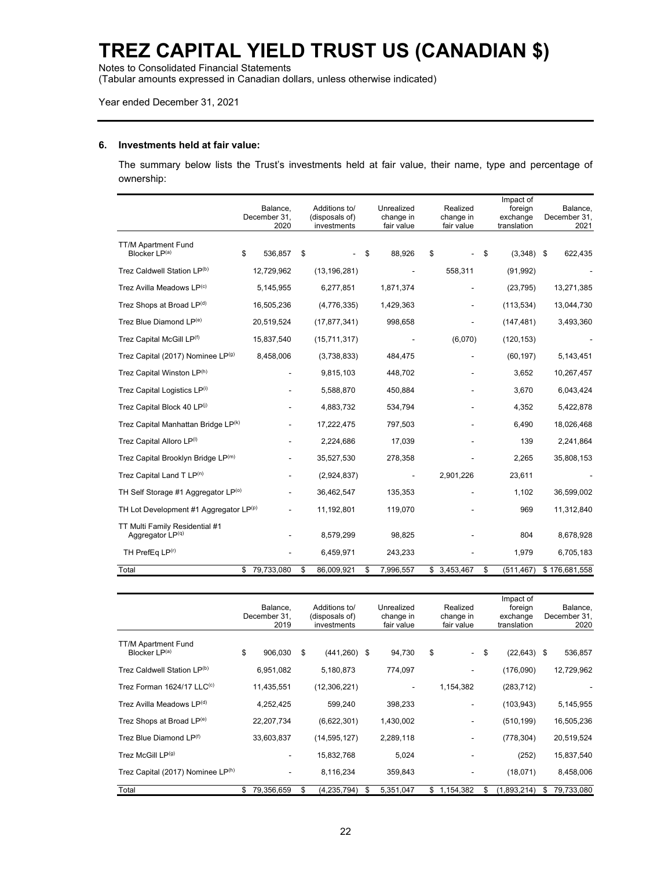Notes to Consolidated Financial Statements

(Tabular amounts expressed in Canadian dollars, unless otherwise indicated)

Year ended December 31, 2021

#### **6. Investments held at fair value:**

The summary below lists the Trust's investments held at fair value, their name, type and percentage of ownership:

|                                                    | Balance.<br>December 31.<br>2020 | Additions to/<br>(disposals of)<br>investments | Unrealized<br>change in<br>fair value | Realized<br>change in<br>fair value | Impact of<br>foreign<br>exchange<br>translation | Balance.<br>December 31.<br>2021 |
|----------------------------------------------------|----------------------------------|------------------------------------------------|---------------------------------------|-------------------------------------|-------------------------------------------------|----------------------------------|
| <b>TT/M Apartment Fund</b><br>Blocker LP(a)        | \$<br>536,857                    | \$<br>$\overline{\phantom{0}}$                 | \$<br>88,926                          | \$                                  | \$<br>$(3,348)$ \$                              | 622,435                          |
| Trez Caldwell Station LP(b)                        | 12,729,962                       | (13, 196, 281)                                 |                                       | 558,311                             | (91, 992)                                       |                                  |
| Trez Avilla Meadows LP(c)                          | 5,145,955                        | 6,277,851                                      | 1,871,374                             |                                     | (23, 795)                                       | 13,271,385                       |
| Trez Shops at Broad LP(d)                          | 16,505,236                       | (4,776,335)                                    | 1,429,363                             |                                     | (113, 534)                                      | 13,044,730                       |
| Trez Blue Diamond LP <sup>(e)</sup>                | 20,519,524                       | (17, 877, 341)                                 | 998,658                               |                                     | (147, 481)                                      | 3,493,360                        |
| Trez Capital McGill LP <sup>(f)</sup>              | 15,837,540                       | (15, 711, 317)                                 |                                       | (6,070)                             | (120, 153)                                      |                                  |
| Trez Capital (2017) Nominee LP(9)                  | 8,458,006                        | (3,738,833)                                    | 484,475                               |                                     | (60, 197)                                       | 5,143,451                        |
| Trez Capital Winston LP(h)                         | ٠                                | 9,815,103                                      | 448,702                               |                                     | 3,652                                           | 10,267,457                       |
| Trez Capital Logistics LP(i)                       |                                  | 5,588,870                                      | 450,884                               |                                     | 3,670                                           | 6,043,424                        |
| Trez Capital Block 40 LP(i)                        |                                  | 4,883,732                                      | 534,794                               |                                     | 4,352                                           | 5,422,878                        |
| Trez Capital Manhattan Bridge LP <sup>(k)</sup>    |                                  | 17,222,475                                     | 797,503                               |                                     | 6.490                                           | 18,026,468                       |
| Trez Capital Alloro LP(1)                          |                                  | 2,224,686                                      | 17,039                                |                                     | 139                                             | 2,241,864                        |
| Trez Capital Brooklyn Bridge LP(m)                 |                                  | 35,527,530                                     | 278,358                               |                                     | 2,265                                           | 35,808,153                       |
| Trez Capital Land T LP(n)                          |                                  | (2,924,837)                                    |                                       | 2,901,226                           | 23,611                                          |                                  |
| TH Self Storage #1 Aggregator LP <sup>(o)</sup>    | $\overline{\phantom{0}}$         | 36,462,547                                     | 135,353                               |                                     | 1,102                                           | 36,599,002                       |
| TH Lot Development #1 Aggregator LP <sup>(p)</sup> |                                  | 11,192,801                                     | 119,070                               |                                     | 969                                             | 11,312,840                       |
| TT Multi Family Residential #1<br>Aggregator LP(q) |                                  | 8,579,299                                      | 98,825                                |                                     | 804                                             | 8,678,928                        |
| TH PrefEq LP(r)                                    |                                  | 6,459,971                                      | 243,233                               |                                     | 1,979                                           | 6,705,183                        |
| Total                                              | \$79,733,080                     | \$<br>86,009,921                               | \$<br>7,996,557                       | \$3,453,467                         | \$<br>(511, 467)                                | \$176,681,558                    |

|                                                  |               |    |                 |                          |                 | Impact of            |     |              |
|--------------------------------------------------|---------------|----|-----------------|--------------------------|-----------------|----------------------|-----|--------------|
|                                                  | Balance.      |    | Additions to/   | Unrealized               | Realized        | foreign              |     | Balance,     |
|                                                  | December 31,  |    | (disposals of)  | change in                | change in       | exchange             |     | December 31, |
|                                                  | 2019          |    | investments     | fair value               | fair value      | translation          |     | 2020         |
| TT/M Apartment Fund<br>Blocker LP <sup>(a)</sup> | \$<br>906,030 | \$ | $(441, 260)$ \$ | 94,730                   | \$<br>$\sim$    | \$<br>$(22, 643)$ \$ |     | 536,857      |
| Trez Caldwell Station LP <sup>(b)</sup>          | 6,951,082     |    | 5,180,873       | 774,097                  |                 | (176,090)            |     | 12,729,962   |
| Trez Forman 1624/17 LLC(c)                       | 11,435,551    |    | (12,306,221)    | $\overline{\phantom{a}}$ | 1,154,382       | (283, 712)           |     |              |
| Trez Avilla Meadows LP <sup>(d)</sup>            | 4,252,425     |    | 599,240         | 398,233                  |                 | (103, 943)           |     | 5,145,955    |
| Trez Shops at Broad LP <sup>(e)</sup>            | 22, 207, 734  |    | (6,622,301)     | 1,430,002                |                 | (510, 199)           |     | 16,505,236   |
| Trez Blue Diamond LP <sup>(f)</sup>              | 33,603,837    |    | (14, 595, 127)  | 2,289,118                |                 | (778, 304)           |     | 20,519,524   |
| Trez McGill LP <sup>(g)</sup>                    |               |    | 15,832,768      | 5,024                    |                 | (252)                |     | 15,837,540   |
| Trez Capital (2017) Nominee LP <sup>(h)</sup>    |               |    | 8,116,234       | 359,843                  |                 | (18,071)             |     | 8,458,006    |
| Total                                            | 79,356,659    | S  | (4,235,794)     | \$<br>5,351,047          | \$<br>1,154,382 | \$<br>(1,893,214)    | \$. | 79,733,080   |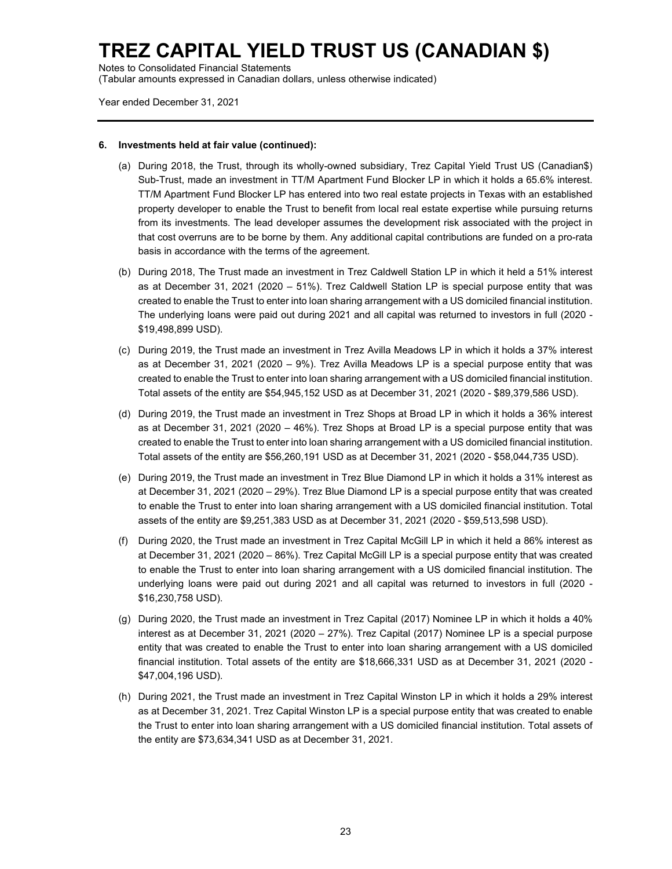Notes to Consolidated Financial Statements (Tabular amounts expressed in Canadian dollars, unless otherwise indicated)

Year ended December 31, 2021

### **6. Investments held at fair value (continued):**

- (a) During 2018, the Trust, through its wholly-owned subsidiary, Trez Capital Yield Trust US (Canadian\$) Sub-Trust, made an investment in TT/M Apartment Fund Blocker LP in which it holds a 65.6% interest. TT/M Apartment Fund Blocker LP has entered into two real estate projects in Texas with an established property developer to enable the Trust to benefit from local real estate expertise while pursuing returns from its investments. The lead developer assumes the development risk associated with the project in that cost overruns are to be borne by them. Any additional capital contributions are funded on a pro-rata basis in accordance with the terms of the agreement.
- (b) During 2018, The Trust made an investment in Trez Caldwell Station LP in which it held a 51% interest as at December 31, 2021 (2020 – 51%). Trez Caldwell Station LP is special purpose entity that was created to enable the Trust to enter into loan sharing arrangement with a US domiciled financial institution. The underlying loans were paid out during 2021 and all capital was returned to investors in full (2020 - \$19,498,899 USD).
- (c) During 2019, the Trust made an investment in Trez Avilla Meadows LP in which it holds a 37% interest as at December 31, 2021 (2020 – 9%). Trez Avilla Meadows LP is a special purpose entity that was created to enable the Trust to enter into loan sharing arrangement with a US domiciled financial institution. Total assets of the entity are \$54,945,152 USD as at December 31, 2021 (2020 - \$89,379,586 USD).
- (d) During 2019, the Trust made an investment in Trez Shops at Broad LP in which it holds a 36% interest as at December 31, 2021 (2020 – 46%). Trez Shops at Broad LP is a special purpose entity that was created to enable the Trust to enter into loan sharing arrangement with a US domiciled financial institution. Total assets of the entity are \$56,260,191 USD as at December 31, 2021 (2020 - \$58,044,735 USD).
- (e) During 2019, the Trust made an investment in Trez Blue Diamond LP in which it holds a 31% interest as at December 31, 2021 (2020 – 29%). Trez Blue Diamond LP is a special purpose entity that was created to enable the Trust to enter into loan sharing arrangement with a US domiciled financial institution. Total assets of the entity are \$9,251,383 USD as at December 31, 2021 (2020 - \$59,513,598 USD).
- (f) During 2020, the Trust made an investment in Trez Capital McGill LP in which it held a 86% interest as at December 31, 2021 (2020 – 86%). Trez Capital McGill LP is a special purpose entity that was created to enable the Trust to enter into loan sharing arrangement with a US domiciled financial institution. The underlying loans were paid out during 2021 and all capital was returned to investors in full (2020 - \$16,230,758 USD).
- (g) During 2020, the Trust made an investment in Trez Capital (2017) Nominee LP in which it holds a 40% interest as at December 31, 2021 (2020 – 27%). Trez Capital (2017) Nominee LP is a special purpose entity that was created to enable the Trust to enter into loan sharing arrangement with a US domiciled financial institution. Total assets of the entity are \$18,666,331 USD as at December 31, 2021 (2020 - \$47,004,196 USD).
- (h) During 2021, the Trust made an investment in Trez Capital Winston LP in which it holds a 29% interest as at December 31, 2021. Trez Capital Winston LP is a special purpose entity that was created to enable the Trust to enter into loan sharing arrangement with a US domiciled financial institution. Total assets of the entity are \$73,634,341 USD as at December 31, 2021.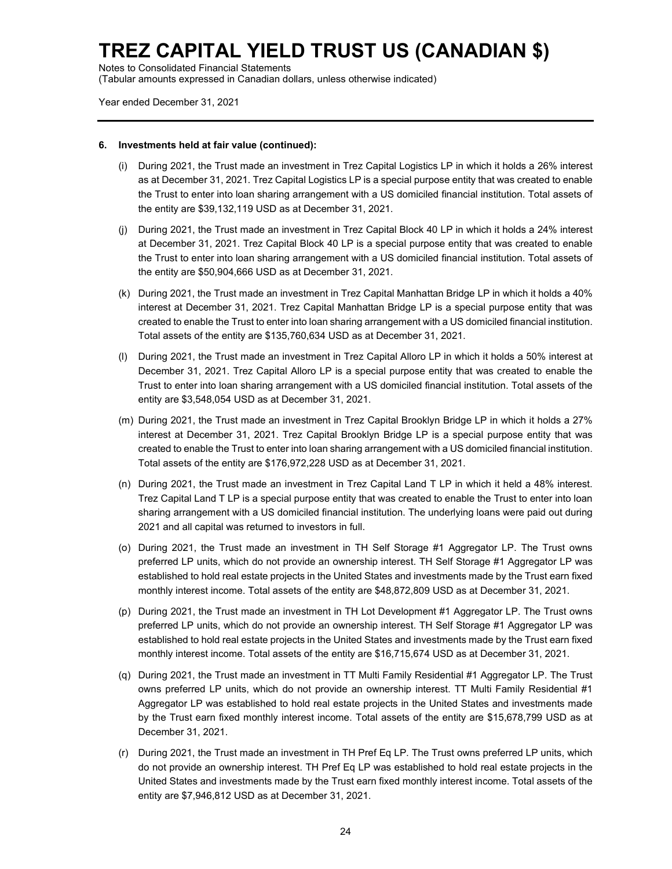Notes to Consolidated Financial Statements (Tabular amounts expressed in Canadian dollars, unless otherwise indicated)

Year ended December 31, 2021

### **6. Investments held at fair value (continued):**

- (i) During 2021, the Trust made an investment in Trez Capital Logistics LP in which it holds a 26% interest as at December 31, 2021. Trez Capital Logistics LP is a special purpose entity that was created to enable the Trust to enter into loan sharing arrangement with a US domiciled financial institution. Total assets of the entity are \$39,132,119 USD as at December 31, 2021.
- (j) During 2021, the Trust made an investment in Trez Capital Block 40 LP in which it holds a 24% interest at December 31, 2021. Trez Capital Block 40 LP is a special purpose entity that was created to enable the Trust to enter into loan sharing arrangement with a US domiciled financial institution. Total assets of the entity are \$50,904,666 USD as at December 31, 2021.
- (k) During 2021, the Trust made an investment in Trez Capital Manhattan Bridge LP in which it holds a 40% interest at December 31, 2021. Trez Capital Manhattan Bridge LP is a special purpose entity that was created to enable the Trust to enter into loan sharing arrangement with a US domiciled financial institution. Total assets of the entity are \$135,760,634 USD as at December 31, 2021.
- (l) During 2021, the Trust made an investment in Trez Capital Alloro LP in which it holds a 50% interest at December 31, 2021. Trez Capital Alloro LP is a special purpose entity that was created to enable the Trust to enter into loan sharing arrangement with a US domiciled financial institution. Total assets of the entity are \$3,548,054 USD as at December 31, 2021.
- (m) During 2021, the Trust made an investment in Trez Capital Brooklyn Bridge LP in which it holds a 27% interest at December 31, 2021. Trez Capital Brooklyn Bridge LP is a special purpose entity that was created to enable the Trust to enter into loan sharing arrangement with a US domiciled financial institution. Total assets of the entity are \$176,972,228 USD as at December 31, 2021.
- (n) During 2021, the Trust made an investment in Trez Capital Land T LP in which it held a 48% interest. Trez Capital Land T LP is a special purpose entity that was created to enable the Trust to enter into loan sharing arrangement with a US domiciled financial institution. The underlying loans were paid out during 2021 and all capital was returned to investors in full.
- (o) During 2021, the Trust made an investment in TH Self Storage #1 Aggregator LP. The Trust owns preferred LP units, which do not provide an ownership interest. TH Self Storage #1 Aggregator LP was established to hold real estate projects in the United States and investments made by the Trust earn fixed monthly interest income. Total assets of the entity are \$48,872,809 USD as at December 31, 2021.
- (p) During 2021, the Trust made an investment in TH Lot Development #1 Aggregator LP. The Trust owns preferred LP units, which do not provide an ownership interest. TH Self Storage #1 Aggregator LP was established to hold real estate projects in the United States and investments made by the Trust earn fixed monthly interest income. Total assets of the entity are \$16,715,674 USD as at December 31, 2021.
- (q) During 2021, the Trust made an investment in TT Multi Family Residential #1 Aggregator LP. The Trust owns preferred LP units, which do not provide an ownership interest. TT Multi Family Residential #1 Aggregator LP was established to hold real estate projects in the United States and investments made by the Trust earn fixed monthly interest income. Total assets of the entity are \$15,678,799 USD as at December 31, 2021.
- (r) During 2021, the Trust made an investment in TH Pref Eq LP. The Trust owns preferred LP units, which do not provide an ownership interest. TH Pref Eq LP was established to hold real estate projects in the United States and investments made by the Trust earn fixed monthly interest income. Total assets of the entity are \$7,946,812 USD as at December 31, 2021.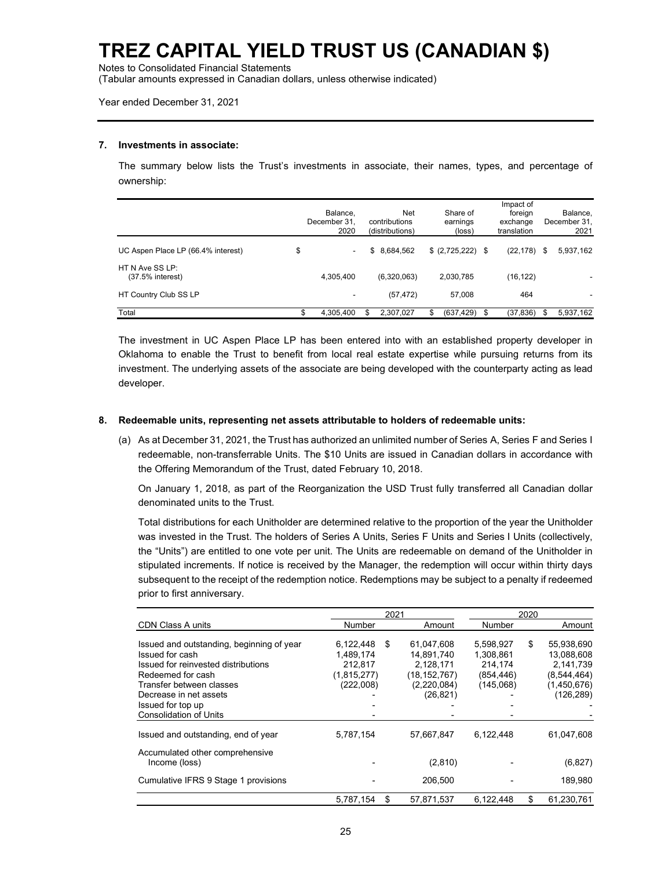Notes to Consolidated Financial Statements

(Tabular amounts expressed in Canadian dollars, unless otherwise indicated)

### Year ended December 31, 2021

#### **7. Investments in associate:**

The summary below lists the Trust's investments in associate, their names, types, and percentage of ownership:

|                                        | Balance.<br>December 31.<br>2020 | Net<br>contributions<br>(distributions) | Share of<br>earnings<br>(loss) | Impact of<br>foreign<br>exchange<br>translation |    | Balance,<br>December 31,<br>2021 |
|----------------------------------------|----------------------------------|-----------------------------------------|--------------------------------|-------------------------------------------------|----|----------------------------------|
| UC Aspen Place LP (66.4% interest)     | \$<br>-                          | \$ 8,684,562                            | $$ (2,725,222)$ \,             | (22, 178)                                       | \$ | 5,937,162                        |
| HT N Ave SS LP:<br>$(37.5\%$ interest) | 4,305,400                        | (6,320,063)                             | 2,030,785                      | (16, 122)                                       |    |                                  |
| HT Country Club SS LP                  | ٠                                | (57, 472)                               | 57.008                         | 464                                             |    |                                  |
| Total                                  | 4,305,400                        | 2,307,027                               | (637, 429)                     | \$<br>(37, 836)                                 | S  | 5,937,162                        |

The investment in UC Aspen Place LP has been entered into with an established property developer in Oklahoma to enable the Trust to benefit from local real estate expertise while pursuing returns from its investment. The underlying assets of the associate are being developed with the counterparty acting as lead developer.

#### **8. Redeemable units, representing net assets attributable to holders of redeemable units:**

(a) As at December 31, 2021, the Trust has authorized an unlimited number of Series A, Series F and Series I redeemable, non-transferrable Units. The \$10 Units are issued in Canadian dollars in accordance with the Offering Memorandum of the Trust, dated February 10, 2018.

On January 1, 2018, as part of the Reorganization the USD Trust fully transferred all Canadian dollar denominated units to the Trust.

Total distributions for each Unitholder are determined relative to the proportion of the year the Unitholder was invested in the Trust. The holders of Series A Units, Series F Units and Series I Units (collectively, the "Units") are entitled to one vote per unit. The Units are redeemable on demand of the Unitholder in stipulated increments. If notice is received by the Manager, the redemption will occur within thirty days subsequent to the receipt of the redemption notice. Redemptions may be subject to a penalty if redeemed prior to first anniversary.

|                                                                                                                                                                                |                                                                 | 2021 |                                                                                     | 2020                                                         |    |                                                                                   |  |  |
|--------------------------------------------------------------------------------------------------------------------------------------------------------------------------------|-----------------------------------------------------------------|------|-------------------------------------------------------------------------------------|--------------------------------------------------------------|----|-----------------------------------------------------------------------------------|--|--|
| CDN Class A units                                                                                                                                                              | Number                                                          |      | Amount                                                                              | Number                                                       |    | Amount                                                                            |  |  |
| Issued and outstanding, beginning of year<br>Issued for cash<br>Issued for reinvested distributions<br>Redeemed for cash<br>Transfer between classes<br>Decrease in net assets | 6,122,448<br>1,489,174<br>212,817<br>(1, 815, 277)<br>(222,008) | \$.  | 61,047,608<br>14,891,740<br>2,128,171<br>(18, 152, 767)<br>(2,220,084)<br>(26, 821) | 5,598,927<br>1.308.861<br>214.174<br>(854, 446)<br>(145,068) | \$ | 55,938,690<br>13,088,608<br>2,141,739<br>(8,544,464)<br>(1,450,676)<br>(126, 289) |  |  |
| Issued for top up<br><b>Consolidation of Units</b>                                                                                                                             |                                                                 |      |                                                                                     |                                                              |    |                                                                                   |  |  |
| Issued and outstanding, end of year                                                                                                                                            | 5,787,154                                                       |      | 57,667,847                                                                          | 6,122,448                                                    |    | 61,047,608                                                                        |  |  |
| Accumulated other comprehensive<br>Income (loss)                                                                                                                               |                                                                 |      | (2,810)                                                                             |                                                              |    | (6, 827)                                                                          |  |  |
| Cumulative IFRS 9 Stage 1 provisions                                                                                                                                           |                                                                 |      | 206.500                                                                             |                                                              |    | 189.980                                                                           |  |  |
|                                                                                                                                                                                | 5,787,154                                                       |      | 57,871,537                                                                          | 6,122,448                                                    | \$ | 61,230,761                                                                        |  |  |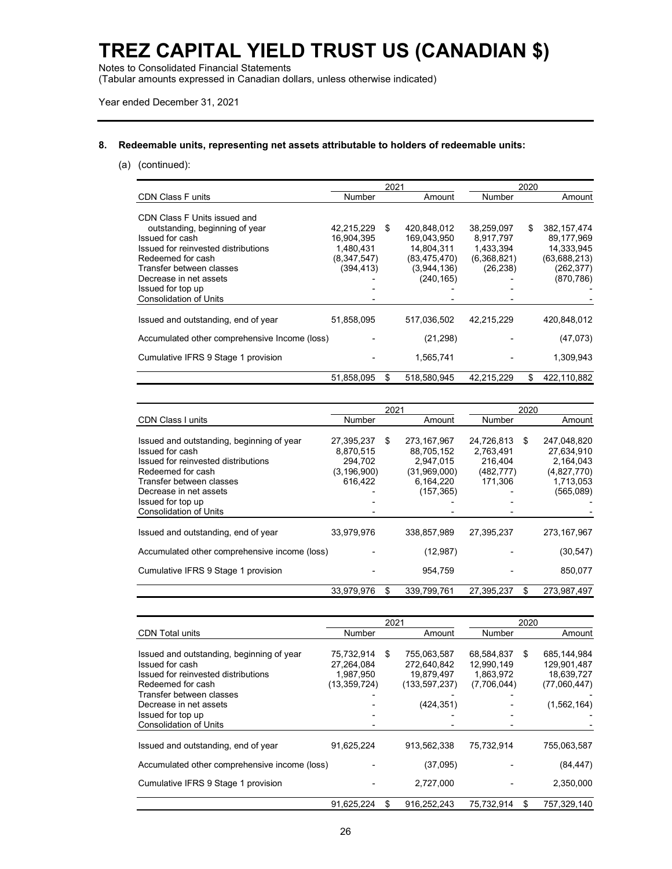Notes to Consolidated Financial Statements

(Tabular amounts expressed in Canadian dollars, unless otherwise indicated)

Year ended December 31, 2021

### **8. Redeemable units, representing net assets attributable to holders of redeemable units:**

(a) (continued):

|                                                                                                                                                                           |                                                                    | 2021 |                                                                           | 2020                                                             |    |                                                                         |  |  |
|---------------------------------------------------------------------------------------------------------------------------------------------------------------------------|--------------------------------------------------------------------|------|---------------------------------------------------------------------------|------------------------------------------------------------------|----|-------------------------------------------------------------------------|--|--|
| <b>CDN Class F units</b>                                                                                                                                                  | Number                                                             |      | Amount                                                                    | Number                                                           |    | Amount                                                                  |  |  |
| CDN Class F Units issued and<br>outstanding, beginning of year<br>Issued for cash<br>Issued for reinvested distributions<br>Redeemed for cash<br>Transfer between classes | 42,215,229<br>16.904.395<br>1,480,431<br>(8,347,547)<br>(394, 413) | \$.  | 420.848.012<br>169.043.950<br>14,804,311<br>(83, 475, 470)<br>(3,944,136) | 38,259,097<br>8,917,797<br>1,433,394<br>(6,368,821)<br>(26, 238) | \$ | 382, 157, 474<br>89,177,969<br>14,333,945<br>(63,688,213)<br>(262, 377) |  |  |
| Decrease in net assets                                                                                                                                                    |                                                                    |      | (240, 165)                                                                |                                                                  |    | (870, 786)                                                              |  |  |
| Issued for top up                                                                                                                                                         |                                                                    |      |                                                                           |                                                                  |    |                                                                         |  |  |
| <b>Consolidation of Units</b>                                                                                                                                             |                                                                    |      |                                                                           |                                                                  |    |                                                                         |  |  |
| Issued and outstanding, end of year                                                                                                                                       | 51,858,095                                                         |      | 517.036.502                                                               | 42.215.229                                                       |    | 420.848.012                                                             |  |  |
| Accumulated other comprehensive Income (loss)                                                                                                                             |                                                                    |      | (21, 298)                                                                 |                                                                  |    | (47, 073)                                                               |  |  |
| Cumulative IFRS 9 Stage 1 provision                                                                                                                                       |                                                                    |      | 1,565,741                                                                 |                                                                  |    | 1,309,943                                                               |  |  |
|                                                                                                                                                                           | 51.858.095                                                         |      | 518.580.945                                                               | 42.215.229                                                       | \$ | 422.110.882                                                             |  |  |

|                                                                                                                                                                                                     |                                                                | 2021 |                                                                                   |                                                             | 2020 |                                                                                 |
|-----------------------------------------------------------------------------------------------------------------------------------------------------------------------------------------------------|----------------------------------------------------------------|------|-----------------------------------------------------------------------------------|-------------------------------------------------------------|------|---------------------------------------------------------------------------------|
| <b>CDN Class I units</b>                                                                                                                                                                            | Number                                                         |      | Amount                                                                            | Number                                                      |      | Amount                                                                          |
| Issued and outstanding, beginning of year<br>Issued for cash<br>Issued for reinvested distributions<br>Redeemed for cash<br>Transfer between classes<br>Decrease in net assets<br>Issued for top up | 27,395,237<br>8,870,515<br>294.702<br>(3, 196, 900)<br>616.422 | \$   | 273.167.967<br>88,705,152<br>2,947,015<br>(31,969,000)<br>6,164,220<br>(157, 365) | 24.726.813<br>2,763,491<br>216,404<br>(482, 777)<br>171,306 | \$.  | 247.048.820<br>27,634,910<br>2.164.043<br>(4,827,770)<br>1,713,053<br>(565,089) |
| <b>Consolidation of Units</b>                                                                                                                                                                       |                                                                |      |                                                                                   |                                                             |      |                                                                                 |
| Issued and outstanding, end of year                                                                                                                                                                 | 33,979,976                                                     |      | 338,857,989                                                                       | 27,395,237                                                  |      | 273, 167, 967                                                                   |
| Accumulated other comprehensive income (loss)                                                                                                                                                       |                                                                |      | (12, 987)                                                                         |                                                             |      | (30, 547)                                                                       |
| Cumulative IFRS 9 Stage 1 provision                                                                                                                                                                 |                                                                |      | 954.759                                                                           |                                                             |      | 850,077                                                                         |
|                                                                                                                                                                                                     | 33,979,976                                                     | \$   | 339,799,761                                                                       | 27,395,237                                                  | \$   | 273,987,497                                                                     |

|                                                                                                                          |                                                       | 2021 |                                                             |                                                      | 2020 |                                                          |
|--------------------------------------------------------------------------------------------------------------------------|-------------------------------------------------------|------|-------------------------------------------------------------|------------------------------------------------------|------|----------------------------------------------------------|
| <b>CDN</b> Total units                                                                                                   | Number                                                |      | Amount                                                      | Number                                               |      | Amount                                                   |
| Issued and outstanding, beginning of year<br>Issued for cash<br>Issued for reinvested distributions<br>Redeemed for cash | 75,732,914<br>27,264,084<br>1,987,950<br>(13,359,724) | \$   | 755,063,587<br>272,640,842<br>19,879,497<br>(133, 597, 237) | 68,584,837<br>12,990,149<br>1,863,972<br>(7,706,044) | \$   | 685,144,984<br>129,901,487<br>18,639,727<br>(77,060,447) |
| Transfer between classes<br>Decrease in net assets<br>Issued for top up<br><b>Consolidation of Units</b>                 |                                                       |      | (424, 351)                                                  |                                                      |      | (1,562,164)                                              |
| Issued and outstanding, end of year                                                                                      | 91.625.224                                            |      | 913.562.338                                                 | 75.732.914                                           |      | 755,063,587                                              |
| Accumulated other comprehensive income (loss)                                                                            |                                                       |      | (37,095)                                                    |                                                      |      | (84, 447)                                                |
| Cumulative IFRS 9 Stage 1 provision                                                                                      |                                                       |      | 2,727,000                                                   |                                                      |      | 2,350,000                                                |
|                                                                                                                          | 91,625,224                                            |      | 916,252,243                                                 | 75,732,914                                           | \$   | 757.329.140                                              |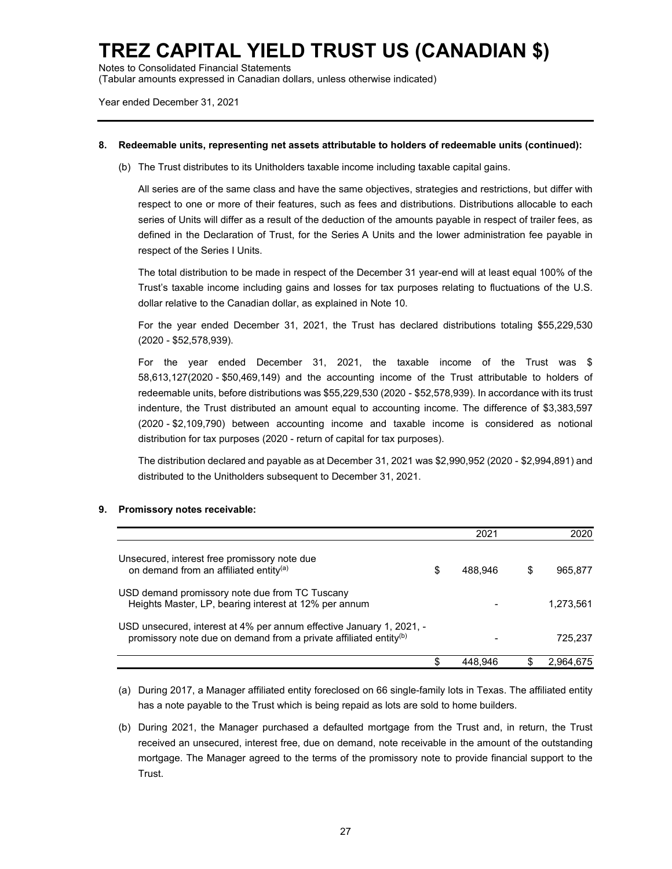Notes to Consolidated Financial Statements (Tabular amounts expressed in Canadian dollars, unless otherwise indicated)

Year ended December 31, 2021

#### **8. Redeemable units, representing net assets attributable to holders of redeemable units (continued):**

(b) The Trust distributes to its Unitholders taxable income including taxable capital gains.

All series are of the same class and have the same objectives, strategies and restrictions, but differ with respect to one or more of their features, such as fees and distributions. Distributions allocable to each series of Units will differ as a result of the deduction of the amounts payable in respect of trailer fees, as defined in the Declaration of Trust, for the Series A Units and the lower administration fee payable in respect of the Series I Units.

The total distribution to be made in respect of the December 31 year-end will at least equal 100% of the Trust's taxable income including gains and losses for tax purposes relating to fluctuations of the U.S. dollar relative to the Canadian dollar, as explained in Note 10.

For the year ended December 31, 2021, the Trust has declared distributions totaling \$55,229,530 (2020 - \$52,578,939).

For the year ended December 31, 2021, the taxable income of the Trust was \$ 58,613,127(2020 - \$50,469,149) and the accounting income of the Trust attributable to holders of redeemable units, before distributions was \$55,229,530 (2020 - \$52,578,939). In accordance with its trust indenture, the Trust distributed an amount equal to accounting income. The difference of \$3,383,597 (2020 - \$2,109,790) between accounting income and taxable income is considered as notional distribution for tax purposes (2020 - return of capital for tax purposes).

The distribution declared and payable as at December 31, 2021 was \$2,990,952 (2020 - \$2,994,891) and distributed to the Unitholders subsequent to December 31, 2021.

|                                                                                                                                                       |   | 2021    |   | 2020      |
|-------------------------------------------------------------------------------------------------------------------------------------------------------|---|---------|---|-----------|
| Unsecured, interest free promissory note due<br>on demand from an affiliated entity <sup>(a)</sup>                                                    | S | 488.946 | S | 965.877   |
| USD demand promissory note due from TC Tuscany<br>Heights Master, LP, bearing interest at 12% per annum                                               |   |         |   | 1,273,561 |
| USD unsecured, interest at 4% per annum effective January 1, 2021, -<br>promissory note due on demand from a private affiliated entity <sup>(b)</sup> |   |         |   | 725.237   |
|                                                                                                                                                       | c | 448.946 |   | 2,964,675 |

#### **9. Promissory notes receivable:**

(a) During 2017, a Manager affiliated entity foreclosed on 66 single-family lots in Texas. The affiliated entity has a note payable to the Trust which is being repaid as lots are sold to home builders.

(b) During 2021, the Manager purchased a defaulted mortgage from the Trust and, in return, the Trust received an unsecured, interest free, due on demand, note receivable in the amount of the outstanding mortgage. The Manager agreed to the terms of the promissory note to provide financial support to the Trust.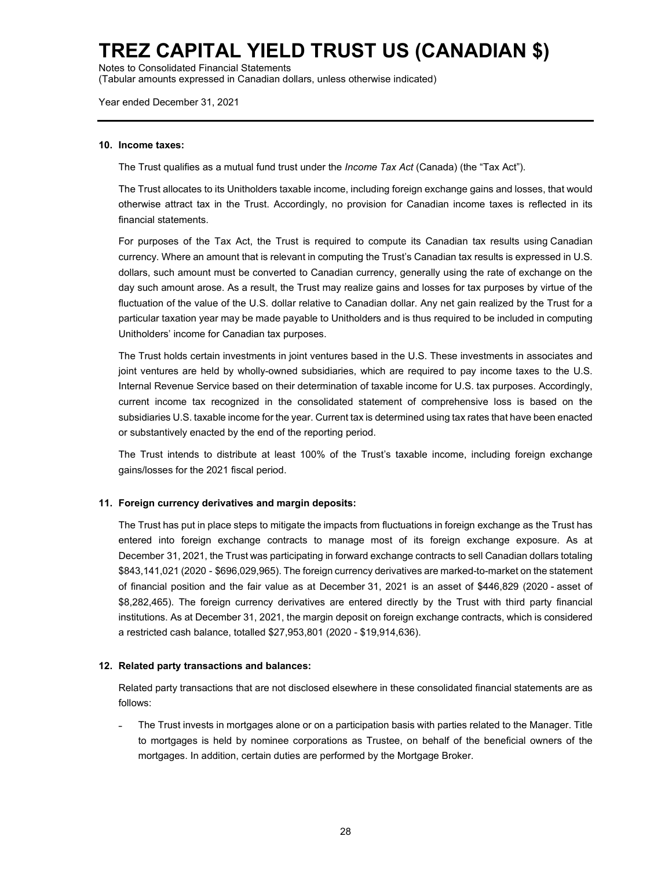Notes to Consolidated Financial Statements (Tabular amounts expressed in Canadian dollars, unless otherwise indicated)

Year ended December 31, 2021

#### **10. Income taxes:**

The Trust qualifies as a mutual fund trust under the *Income Tax Act* (Canada) (the "Tax Act").

The Trust allocates to its Unitholders taxable income, including foreign exchange gains and losses, that would otherwise attract tax in the Trust. Accordingly, no provision for Canadian income taxes is reflected in its financial statements.

For purposes of the Tax Act, the Trust is required to compute its Canadian tax results using Canadian currency. Where an amount that is relevant in computing the Trust's Canadian tax results is expressed in U.S. dollars, such amount must be converted to Canadian currency, generally using the rate of exchange on the day such amount arose. As a result, the Trust may realize gains and losses for tax purposes by virtue of the fluctuation of the value of the U.S. dollar relative to Canadian dollar. Any net gain realized by the Trust for a particular taxation year may be made payable to Unitholders and is thus required to be included in computing Unitholders' income for Canadian tax purposes.

The Trust holds certain investments in joint ventures based in the U.S. These investments in associates and joint ventures are held by wholly-owned subsidiaries, which are required to pay income taxes to the U.S. Internal Revenue Service based on their determination of taxable income for U.S. tax purposes. Accordingly, current income tax recognized in the consolidated statement of comprehensive loss is based on the subsidiaries U.S. taxable income for the year. Current tax is determined using tax rates that have been enacted or substantively enacted by the end of the reporting period.

The Trust intends to distribute at least 100% of the Trust's taxable income, including foreign exchange gains/losses for the 2021 fiscal period.

#### **11. Foreign currency derivatives and margin deposits:**

The Trust has put in place steps to mitigate the impacts from fluctuations in foreign exchange as the Trust has entered into foreign exchange contracts to manage most of its foreign exchange exposure. As at December 31, 2021, the Trust was participating in forward exchange contracts to sell Canadian dollars totaling \$843,141,021 (2020 - \$696,029,965). The foreign currency derivatives are marked-to-market on the statement of financial position and the fair value as at December 31, 2021 is an asset of \$446,829 (2020 - asset of \$8,282,465). The foreign currency derivatives are entered directly by the Trust with third party financial institutions. As at December 31, 2021, the margin deposit on foreign exchange contracts, which is considered a restricted cash balance, totalled \$27,953,801 (2020 - \$19,914,636).

#### **12. Related party transactions and balances:**

Related party transactions that are not disclosed elsewhere in these consolidated financial statements are as follows:

- The Trust invests in mortgages alone or on a participation basis with parties related to the Manager. Title to mortgages is held by nominee corporations as Trustee, on behalf of the beneficial owners of the mortgages. In addition, certain duties are performed by the Mortgage Broker.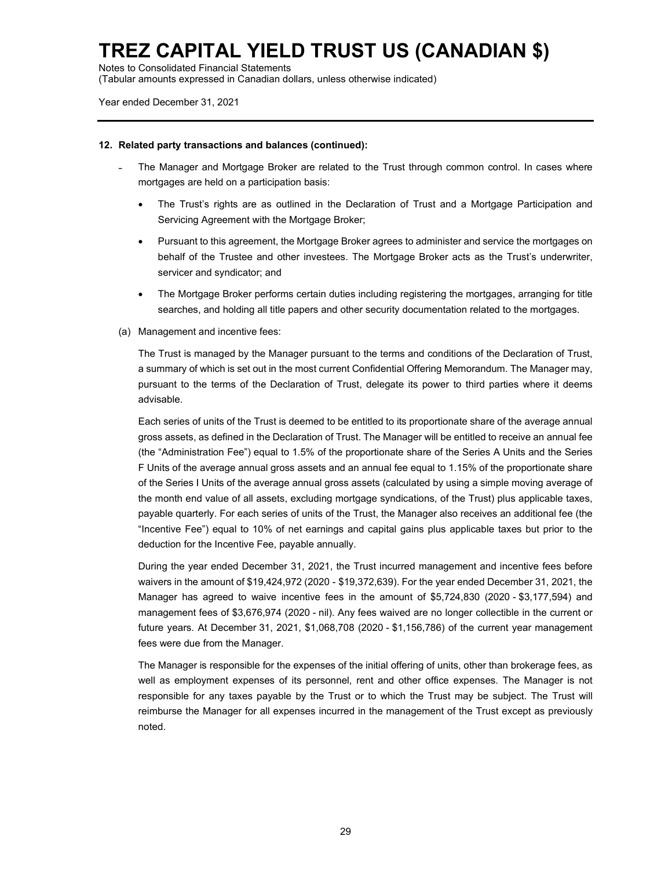Notes to Consolidated Financial Statements

(Tabular amounts expressed in Canadian dollars, unless otherwise indicated)

Year ended December 31, 2021

#### **12. Related party transactions and balances (continued):**

- ˗ The Manager and Mortgage Broker are related to the Trust through common control. In cases where mortgages are held on a participation basis:
	- The Trust's rights are as outlined in the Declaration of Trust and a Mortgage Participation and Servicing Agreement with the Mortgage Broker;
	- Pursuant to this agreement, the Mortgage Broker agrees to administer and service the mortgages on behalf of the Trustee and other investees. The Mortgage Broker acts as the Trust's underwriter, servicer and syndicator; and
	- The Mortgage Broker performs certain duties including registering the mortgages, arranging for title searches, and holding all title papers and other security documentation related to the mortgages.
- (a) Management and incentive fees:

The Trust is managed by the Manager pursuant to the terms and conditions of the Declaration of Trust, a summary of which is set out in the most current Confidential Offering Memorandum. The Manager may, pursuant to the terms of the Declaration of Trust, delegate its power to third parties where it deems advisable.

Each series of units of the Trust is deemed to be entitled to its proportionate share of the average annual gross assets, as defined in the Declaration of Trust. The Manager will be entitled to receive an annual fee (the "Administration Fee") equal to 1.5% of the proportionate share of the Series A Units and the Series F Units of the average annual gross assets and an annual fee equal to 1.15% of the proportionate share of the Series I Units of the average annual gross assets (calculated by using a simple moving average of the month end value of all assets, excluding mortgage syndications, of the Trust) plus applicable taxes, payable quarterly. For each series of units of the Trust, the Manager also receives an additional fee (the "Incentive Fee") equal to 10% of net earnings and capital gains plus applicable taxes but prior to the deduction for the Incentive Fee, payable annually.

During the year ended December 31, 2021, the Trust incurred management and incentive fees before waivers in the amount of \$19,424,972 (2020 - \$19,372,639). For the year ended December 31, 2021, the Manager has agreed to waive incentive fees in the amount of \$5,724,830 (2020 - \$3,177,594) and management fees of \$3,676,974 (2020 - nil). Any fees waived are no longer collectible in the current or future years. At December 31, 2021, \$1,068,708 (2020 - \$1,156,786) of the current year management fees were due from the Manager.

The Manager is responsible for the expenses of the initial offering of units, other than brokerage fees, as well as employment expenses of its personnel, rent and other office expenses. The Manager is not responsible for any taxes payable by the Trust or to which the Trust may be subject. The Trust will reimburse the Manager for all expenses incurred in the management of the Trust except as previously noted.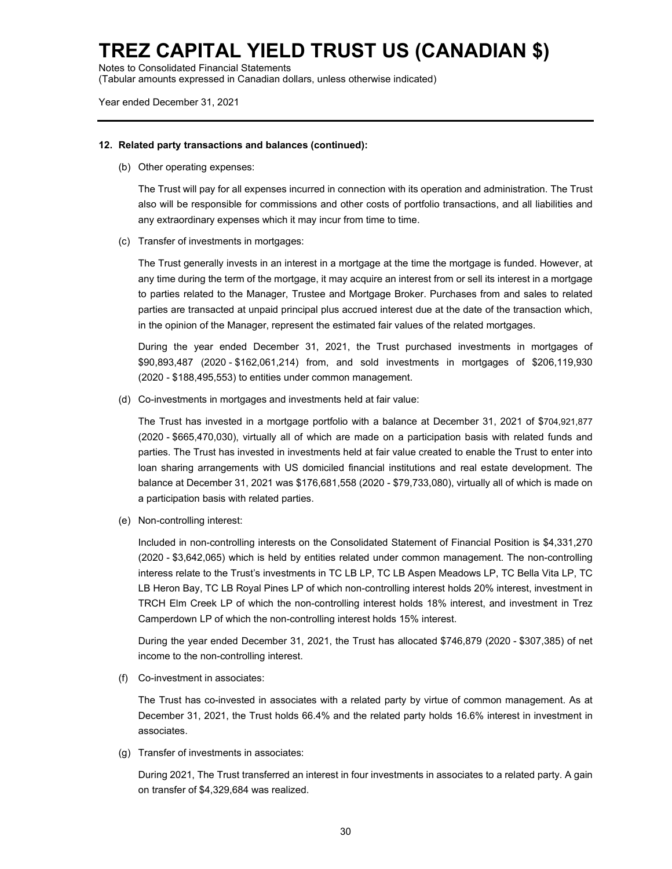Notes to Consolidated Financial Statements (Tabular amounts expressed in Canadian dollars, unless otherwise indicated)

Year ended December 31, 2021

#### **12. Related party transactions and balances (continued):**

(b) Other operating expenses:

The Trust will pay for all expenses incurred in connection with its operation and administration. The Trust also will be responsible for commissions and other costs of portfolio transactions, and all liabilities and any extraordinary expenses which it may incur from time to time.

(c) Transfer of investments in mortgages:

The Trust generally invests in an interest in a mortgage at the time the mortgage is funded. However, at any time during the term of the mortgage, it may acquire an interest from or sell its interest in a mortgage to parties related to the Manager, Trustee and Mortgage Broker. Purchases from and sales to related parties are transacted at unpaid principal plus accrued interest due at the date of the transaction which, in the opinion of the Manager, represent the estimated fair values of the related mortgages.

During the year ended December 31, 2021, the Trust purchased investments in mortgages of \$90,893,487 (2020 - \$162,061,214) from, and sold investments in mortgages of \$206,119,930 (2020 - \$188,495,553) to entities under common management.

(d) Co-investments in mortgages and investments held at fair value:

The Trust has invested in a mortgage portfolio with a balance at December 31, 2021 of \$704,921,877 (2020 - \$665,470,030), virtually all of which are made on a participation basis with related funds and parties. The Trust has invested in investments held at fair value created to enable the Trust to enter into loan sharing arrangements with US domiciled financial institutions and real estate development. The balance at December 31, 2021 was \$176,681,558 (2020 - \$79,733,080), virtually all of which is made on a participation basis with related parties.

(e) Non-controlling interest:

Included in non-controlling interests on the Consolidated Statement of Financial Position is \$4,331,270 (2020 - \$3,642,065) which is held by entities related under common management. The non-controlling interess relate to the Trust's investments in TC LB LP, TC LB Aspen Meadows LP, TC Bella Vita LP, TC LB Heron Bay, TC LB Royal Pines LP of which non-controlling interest holds 20% interest, investment in TRCH Elm Creek LP of which the non-controlling interest holds 18% interest, and investment in Trez Camperdown LP of which the non-controlling interest holds 15% interest.

During the year ended December 31, 2021, the Trust has allocated \$746,879 (2020 - \$307,385) of net income to the non-controlling interest.

(f) Co-investment in associates:

The Trust has co-invested in associates with a related party by virtue of common management. As at December 31, 2021, the Trust holds 66.4% and the related party holds 16.6% interest in investment in associates.

(g) Transfer of investments in associates:

During 2021, The Trust transferred an interest in four investments in associates to a related party. A gain on transfer of \$4,329,684 was realized.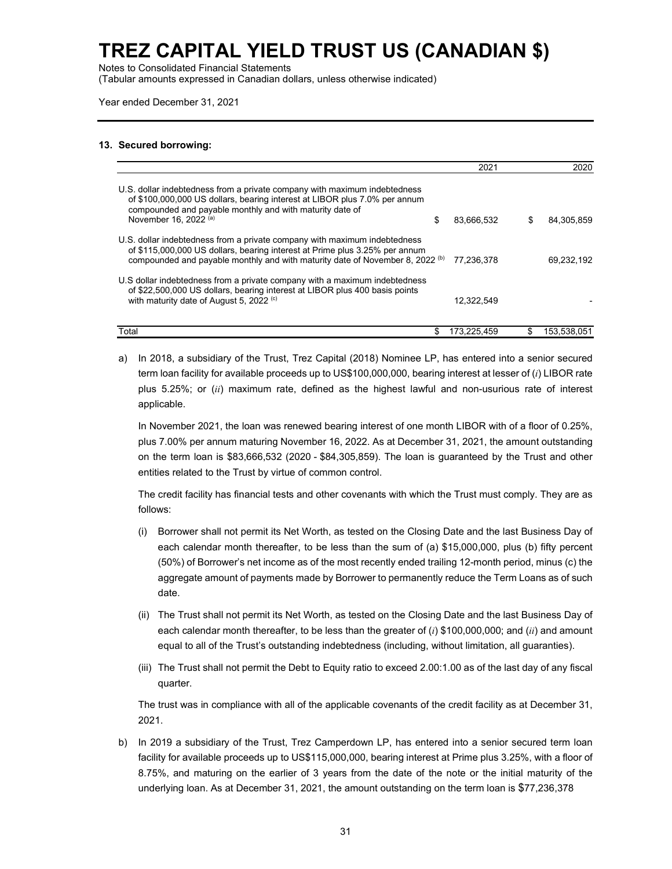Notes to Consolidated Financial Statements

(Tabular amounts expressed in Canadian dollars, unless otherwise indicated)

Year ended December 31, 2021

#### **13. Secured borrowing:**

|                                                                                                                                                                                                                                              | 2021              | 2020              |
|----------------------------------------------------------------------------------------------------------------------------------------------------------------------------------------------------------------------------------------------|-------------------|-------------------|
| U.S. dollar indebtedness from a private company with maximum indebtedness<br>of \$100,000,000 US dollars, bearing interest at LIBOR plus 7.0% per annum<br>compounded and payable monthly and with maturity date of<br>November 16, 2022 (a) | \$<br>83,666,532  | \$<br>84,305,859  |
| U.S. dollar indebtedness from a private company with maximum indebtedness<br>of \$115,000,000 US dollars, bearing interest at Prime plus 3.25% per annum<br>compounded and payable monthly and with maturity date of November 8, 2022 (b)    | 77.236.378        | 69,232,192        |
| U.S dollar indebtedness from a private company with a maximum indebtedness<br>of \$22,500,000 US dollars, bearing interest at LIBOR plus 400 basis points<br>with maturity date of August 5, 2022 (c)                                        | 12,322,549        |                   |
| Total                                                                                                                                                                                                                                        | \$<br>173.225.459 | \$<br>153.538.051 |

a) In 2018, a subsidiary of the Trust, Trez Capital (2018) Nominee LP, has entered into a senior secured term loan facility for available proceeds up to US\$100,000,000, bearing interest at lesser of (*i*) LIBOR rate plus 5.25%; or (*ii*) maximum rate, defined as the highest lawful and non-usurious rate of interest applicable.

In November 2021, the loan was renewed bearing interest of one month LIBOR with of a floor of 0.25%, plus 7.00% per annum maturing November 16, 2022. As at December 31, 2021, the amount outstanding on the term loan is \$83,666,532 (2020 - \$84,305,859). The loan is guaranteed by the Trust and other entities related to the Trust by virtue of common control.

The credit facility has financial tests and other covenants with which the Trust must comply. They are as follows:

- (i) Borrower shall not permit its Net Worth, as tested on the Closing Date and the last Business Day of each calendar month thereafter, to be less than the sum of (a) \$15,000,000, plus (b) fifty percent (50%) of Borrower's net income as of the most recently ended trailing 12-month period, minus (c) the aggregate amount of payments made by Borrower to permanently reduce the Term Loans as of such date.
- (ii) The Trust shall not permit its Net Worth, as tested on the Closing Date and the last Business Day of each calendar month thereafter, to be less than the greater of (*i*) \$100,000,000; and (*ii*) and amount equal to all of the Trust's outstanding indebtedness (including, without limitation, all guaranties).
- (iii) The Trust shall not permit the Debt to Equity ratio to exceed 2.00:1.00 as of the last day of any fiscal quarter.

The trust was in compliance with all of the applicable covenants of the credit facility as at December 31, 2021.

b) In 2019 a subsidiary of the Trust, Trez Camperdown LP, has entered into a senior secured term loan facility for available proceeds up to US\$115,000,000, bearing interest at Prime plus 3.25%, with a floor of 8.75%, and maturing on the earlier of 3 years from the date of the note or the initial maturity of the underlying loan. As at December 31, 2021, the amount outstanding on the term loan is \$77,236,378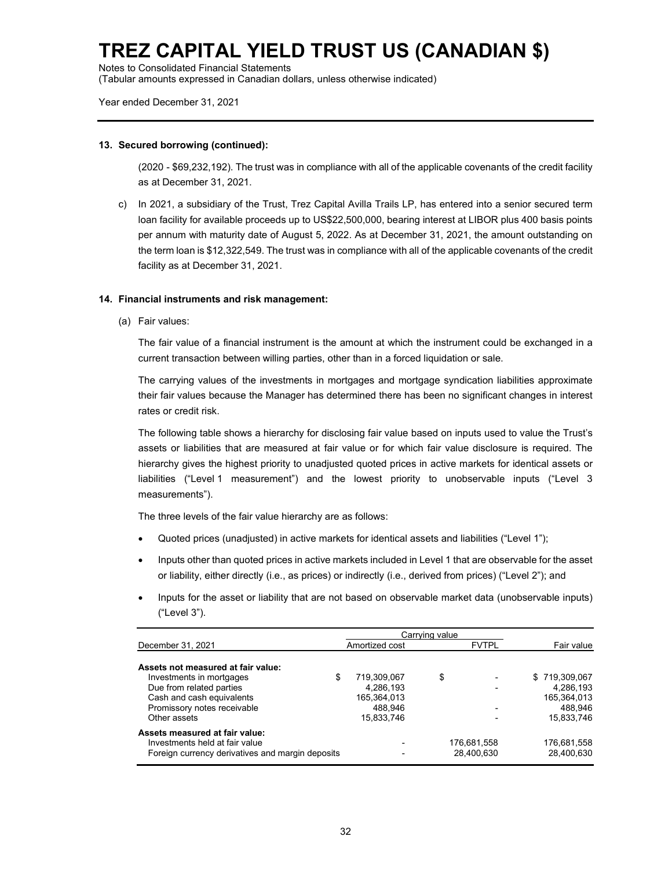Notes to Consolidated Financial Statements (Tabular amounts expressed in Canadian dollars, unless otherwise indicated)

### Year ended December 31, 2021

#### **13. Secured borrowing (continued):**

(2020 - \$69,232,192). The trust was in compliance with all of the applicable covenants of the credit facility as at December 31, 2021.

c) In 2021, a subsidiary of the Trust, Trez Capital Avilla Trails LP, has entered into a senior secured term loan facility for available proceeds up to US\$22,500,000, bearing interest at LIBOR plus 400 basis points per annum with maturity date of August 5, 2022. As at December 31, 2021, the amount outstanding on the term loan is \$12,322,549. The trust was in compliance with all of the applicable covenants of the credit facility as at December 31, 2021.

### **14. Financial instruments and risk management:**

(a) Fair values:

The fair value of a financial instrument is the amount at which the instrument could be exchanged in a current transaction between willing parties, other than in a forced liquidation or sale.

The carrying values of the investments in mortgages and mortgage syndication liabilities approximate their fair values because the Manager has determined there has been no significant changes in interest rates or credit risk.

The following table shows a hierarchy for disclosing fair value based on inputs used to value the Trust's assets or liabilities that are measured at fair value or for which fair value disclosure is required. The hierarchy gives the highest priority to unadjusted quoted prices in active markets for identical assets or liabilities ("Level 1 measurement") and the lowest priority to unobservable inputs ("Level 3 measurements").

The three levels of the fair value hierarchy are as follows:

- Quoted prices (unadjusted) in active markets for identical assets and liabilities ("Level 1");
- Inputs other than quoted prices in active markets included in Level 1 that are observable for the asset or liability, either directly (i.e., as prices) or indirectly (i.e., derived from prices) ("Level 2"); and
- Inputs for the asset or liability that are not based on observable market data (unobservable inputs) ("Level 3").

|                                                  | Carrying value |              |               |
|--------------------------------------------------|----------------|--------------|---------------|
| December 31, 2021                                | Amortized cost | <b>FVTPL</b> | Fair value    |
| Assets not measured at fair value:               |                |              |               |
| Investments in mortgages<br>\$                   | 719,309,067    | \$           | \$719.309.067 |
| Due from related parties                         | 4.286.193      |              | 4.286.193     |
| Cash and cash equivalents                        | 165,364,013    |              | 165,364,013   |
| Promissory notes receivable                      | 488.946        |              | 488.946       |
| Other assets                                     | 15,833,746     |              | 15,833,746    |
| Assets measured at fair value:                   |                |              |               |
| Investments held at fair value                   |                | 176,681,558  | 176,681,558   |
| Foreign currency derivatives and margin deposits |                | 28,400,630   | 28,400,630    |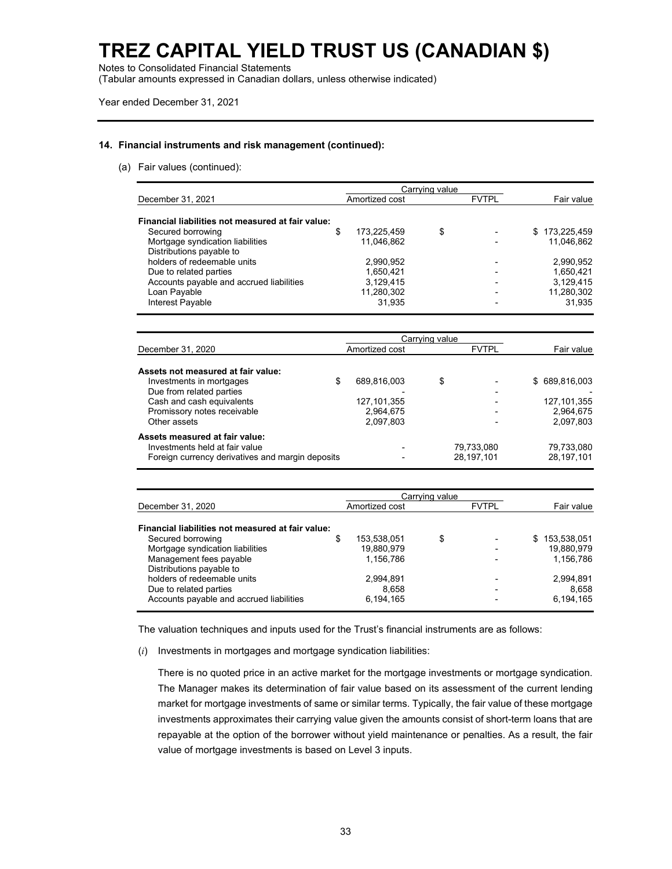Notes to Consolidated Financial Statements

(Tabular amounts expressed in Canadian dollars, unless otherwise indicated)

Year ended December 31, 2021

#### **14. Financial instruments and risk management (continued):**

(a) Fair values (continued):

|                                                   | Carrying value    |                |              |                   |
|---------------------------------------------------|-------------------|----------------|--------------|-------------------|
| December 31, 2021                                 | Amortized cost    |                | <b>FVTPL</b> | Fair value        |
|                                                   |                   |                |              |                   |
| Financial liabilities not measured at fair value: |                   |                |              |                   |
| Secured borrowing                                 | \$<br>173,225,459 | \$             |              | \$<br>173,225,459 |
| Mortgage syndication liabilities                  | 11,046,862        |                |              | 11,046,862        |
| Distributions payable to                          |                   |                |              |                   |
| holders of redeemable units                       | 2,990,952         |                |              | 2,990,952         |
| Due to related parties                            | 1,650,421         |                |              | 1,650,421         |
| Accounts payable and accrued liabilities          | 3,129,415         |                |              | 3,129,415         |
| Loan Payable                                      | 11,280,302        |                |              | 11,280,302        |
| Interest Payable                                  | 31,935            |                |              | 31,935            |
|                                                   |                   |                |              |                   |
|                                                   |                   | Carrying value |              |                   |
| December 31, 2020                                 | Amortized cost    |                | <b>FVTPL</b> | Fair value        |
| Assets not measured at fair value:                |                   |                |              |                   |
| Investments in mortgages                          | \$<br>689,816,003 | \$             |              | \$<br>689,816,003 |
| Due from related parties                          |                   |                |              |                   |
| Cash and cash equivalents                         | 127,101,355       |                |              | 127, 101, 355     |

| Promissory notes receivable                      | 2.964.675                | -          | 2.964.675  |
|--------------------------------------------------|--------------------------|------------|------------|
| Other assets                                     | 2.097.803                | -          | 2.097.803  |
| Assets measured at fair value:                   |                          |            |            |
| Investments held at fair value                   | $\overline{\phantom{a}}$ | 79.733.080 | 79.733.080 |
| Foreign currency derivatives and margin deposits | $\overline{\phantom{0}}$ | 28.197.101 | 28.197.101 |
|                                                  |                          |            |            |

|                                                                                                                                                                                                  |   |                                                     | Carrying value |              |    |                                                     |
|--------------------------------------------------------------------------------------------------------------------------------------------------------------------------------------------------|---|-----------------------------------------------------|----------------|--------------|----|-----------------------------------------------------|
| December 31, 2020                                                                                                                                                                                |   | Amortized cost                                      |                | <b>FVTPL</b> |    | Fair value                                          |
| Financial liabilities not measured at fair value:<br>Secured borrowing<br>Mortgage syndication liabilities<br>Management fees payable<br>Distributions payable to<br>holders of redeemable units | S | 153,538,051<br>19,880,979<br>1,156,786<br>2,994,891 | \$             |              | S. | 153,538,051<br>19,880,979<br>1.156.786<br>2.994.891 |
| Due to related parties<br>Accounts payable and accrued liabilities                                                                                                                               |   | 8.658<br>6,194,165                                  |                |              |    | 8.658<br>6,194,165                                  |

The valuation techniques and inputs used for the Trust's financial instruments are as follows:

(*i*) Investments in mortgages and mortgage syndication liabilities:

There is no quoted price in an active market for the mortgage investments or mortgage syndication. The Manager makes its determination of fair value based on its assessment of the current lending market for mortgage investments of same or similar terms. Typically, the fair value of these mortgage investments approximates their carrying value given the amounts consist of short-term loans that are repayable at the option of the borrower without yield maintenance or penalties. As a result, the fair value of mortgage investments is based on Level 3 inputs.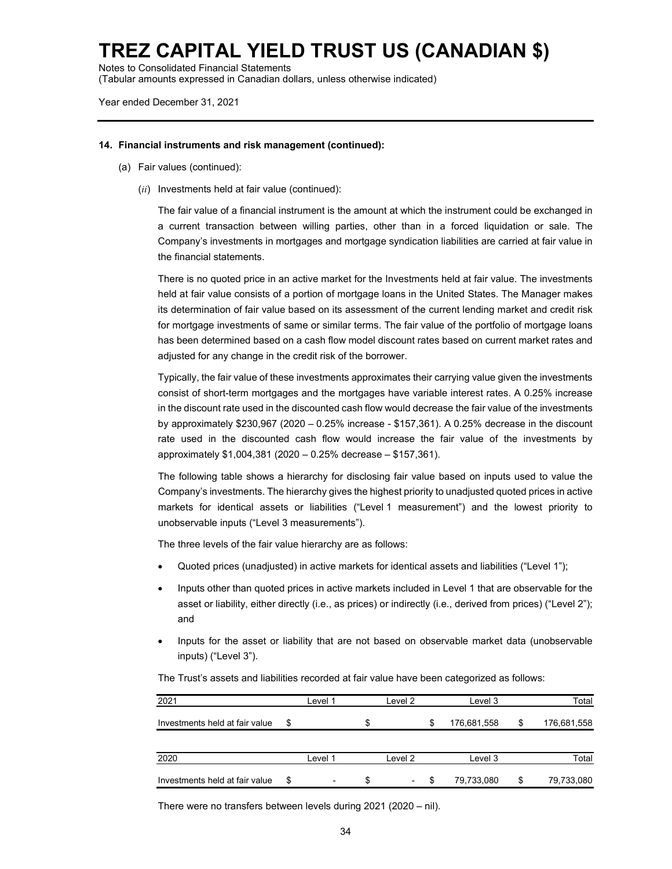Notes to Consolidated Financial Statements (Tabular amounts expressed in Canadian dollars, unless otherwise indicated)

Year ended December 31, 2021

#### **14. Financial instruments and risk management (continued):**

- (a) Fair values (continued):
	- (*ii*) Investments held at fair value (continued):

The fair value of a financial instrument is the amount at which the instrument could be exchanged in a current transaction between willing parties, other than in a forced liquidation or sale. The Company's investments in mortgages and mortgage syndication liabilities are carried at fair value in the financial statements.

There is no quoted price in an active market for the Investments held at fair value. The investments held at fair value consists of a portion of mortgage loans in the United States. The Manager makes its determination of fair value based on its assessment of the current lending market and credit risk for mortgage investments of same or similar terms. The fair value of the portfolio of mortgage loans has been determined based on a cash flow model discount rates based on current market rates and adjusted for any change in the credit risk of the borrower.

Typically, the fair value of these investments approximates their carrying value given the investments consist of short-term mortgages and the mortgages have variable interest rates. A 0.25% increase in the discount rate used in the discounted cash flow would decrease the fair value of the investments by approximately \$230,967 (2020 – 0.25% increase - \$157,361). A 0.25% decrease in the discount rate used in the discounted cash flow would increase the fair value of the investments by approximately \$1,004,381 (2020 – 0.25% decrease – \$157,361).

The following table shows a hierarchy for disclosing fair value based on inputs used to value the Company's investments. The hierarchy gives the highest priority to unadjusted quoted prices in active markets for identical assets or liabilities ("Level 1 measurement") and the lowest priority to unobservable inputs ("Level 3 measurements").

The three levels of the fair value hierarchy are as follows:

- Quoted prices (unadjusted) in active markets for identical assets and liabilities ("Level 1");
- Inputs other than quoted prices in active markets included in Level 1 that are observable for the asset or liability, either directly (i.e., as prices) or indirectly (i.e., derived from prices) ("Level 2"); and
- Inputs for the asset or liability that are not based on observable market data (unobservable inputs) ("Level 3").

The Trust's assets and liabilities recorded at fair value have been categorized as follows:

| 2021                           | Level 1 | Level 2                        |   | Level 3     | Total             |
|--------------------------------|---------|--------------------------------|---|-------------|-------------------|
| Investments held at fair value | \$      | \$                             | S | 176,681,558 | \$<br>176,681,558 |
| 2020                           | Level 1 | Level 2                        |   | Level 3     | Total             |
| Investments held at fair value | \$<br>٠ | \$<br>$\overline{\phantom{a}}$ | S | 79,733,080  | \$<br>79,733,080  |

There were no transfers between levels during 2021 (2020 – nil).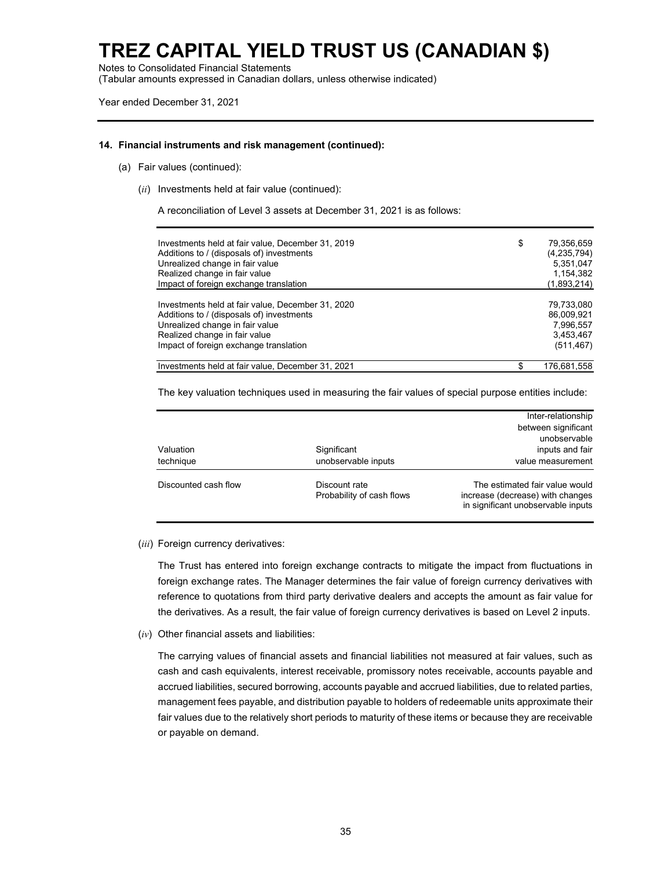Notes to Consolidated Financial Statements

(Tabular amounts expressed in Canadian dollars, unless otherwise indicated)

Year ended December 31, 2021

#### **14. Financial instruments and risk management (continued):**

- (a) Fair values (continued):
	- (*ii*) Investments held at fair value (continued):

A reconciliation of Level 3 assets at December 31, 2021 is as follows:

| Investments held at fair value, December 31, 2019 | \$<br>79,356,659  |
|---------------------------------------------------|-------------------|
| Additions to / (disposals of) investments         | (4,235,794)       |
| Unrealized change in fair value                   | 5,351,047         |
| Realized change in fair value                     | 1,154,382         |
| Impact of foreign exchange translation            | (1,893,214)       |
| Investments held at fair value, December 31, 2020 | 79,733,080        |
| Additions to / (disposals of) investments         | 86.009.921        |
| Unrealized change in fair value                   | 7,996,557         |
| Realized change in fair value                     | 3,453,467         |
| Impact of foreign exchange translation            | (511, 467)        |
| Investments held at fair value, December 31, 2021 | \$<br>176.681.558 |

The key valuation techniques used in measuring the fair values of special purpose entities include:

|                      |                                            | Inter-relationship                                                                                       |
|----------------------|--------------------------------------------|----------------------------------------------------------------------------------------------------------|
|                      |                                            | between significant                                                                                      |
|                      |                                            | unobservable                                                                                             |
| Valuation            | Significant                                | inputs and fair                                                                                          |
| technique            | unobservable inputs                        | value measurement                                                                                        |
| Discounted cash flow | Discount rate<br>Probability of cash flows | The estimated fair value would<br>increase (decrease) with changes<br>in significant unobservable inputs |

#### (*iii*) Foreign currency derivatives:

The Trust has entered into foreign exchange contracts to mitigate the impact from fluctuations in foreign exchange rates. The Manager determines the fair value of foreign currency derivatives with reference to quotations from third party derivative dealers and accepts the amount as fair value for the derivatives. As a result, the fair value of foreign currency derivatives is based on Level 2 inputs.

(*iv*) Other financial assets and liabilities:

The carrying values of financial assets and financial liabilities not measured at fair values, such as cash and cash equivalents, interest receivable, promissory notes receivable, accounts payable and accrued liabilities, secured borrowing, accounts payable and accrued liabilities, due to related parties, management fees payable, and distribution payable to holders of redeemable units approximate their fair values due to the relatively short periods to maturity of these items or because they are receivable or payable on demand.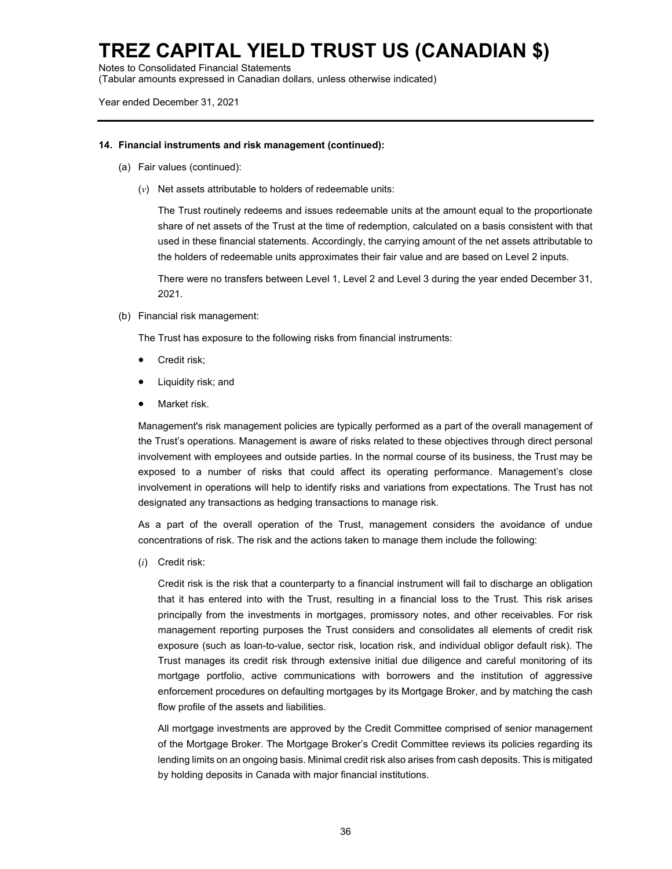Notes to Consolidated Financial Statements (Tabular amounts expressed in Canadian dollars, unless otherwise indicated)

Year ended December 31, 2021

### **14. Financial instruments and risk management (continued):**

- (a) Fair values (continued):
	- (*v*) Net assets attributable to holders of redeemable units:

The Trust routinely redeems and issues redeemable units at the amount equal to the proportionate share of net assets of the Trust at the time of redemption, calculated on a basis consistent with that used in these financial statements. Accordingly, the carrying amount of the net assets attributable to the holders of redeemable units approximates their fair value and are based on Level 2 inputs.

There were no transfers between Level 1, Level 2 and Level 3 during the year ended December 31, 2021.

(b) Financial risk management:

The Trust has exposure to the following risks from financial instruments:

- Credit risk;
- Liquidity risk; and
- Market risk.

Management's risk management policies are typically performed as a part of the overall management of the Trust's operations. Management is aware of risks related to these objectives through direct personal involvement with employees and outside parties. In the normal course of its business, the Trust may be exposed to a number of risks that could affect its operating performance. Management's close involvement in operations will help to identify risks and variations from expectations. The Trust has not designated any transactions as hedging transactions to manage risk.

As a part of the overall operation of the Trust, management considers the avoidance of undue concentrations of risk. The risk and the actions taken to manage them include the following:

(*i*) Credit risk:

Credit risk is the risk that a counterparty to a financial instrument will fail to discharge an obligation that it has entered into with the Trust, resulting in a financial loss to the Trust. This risk arises principally from the investments in mortgages, promissory notes, and other receivables. For risk management reporting purposes the Trust considers and consolidates all elements of credit risk exposure (such as loan-to-value, sector risk, location risk, and individual obligor default risk). The Trust manages its credit risk through extensive initial due diligence and careful monitoring of its mortgage portfolio, active communications with borrowers and the institution of aggressive enforcement procedures on defaulting mortgages by its Mortgage Broker, and by matching the cash flow profile of the assets and liabilities.

All mortgage investments are approved by the Credit Committee comprised of senior management of the Mortgage Broker. The Mortgage Broker's Credit Committee reviews its policies regarding its lending limits on an ongoing basis. Minimal credit risk also arises from cash deposits. This is mitigated by holding deposits in Canada with major financial institutions.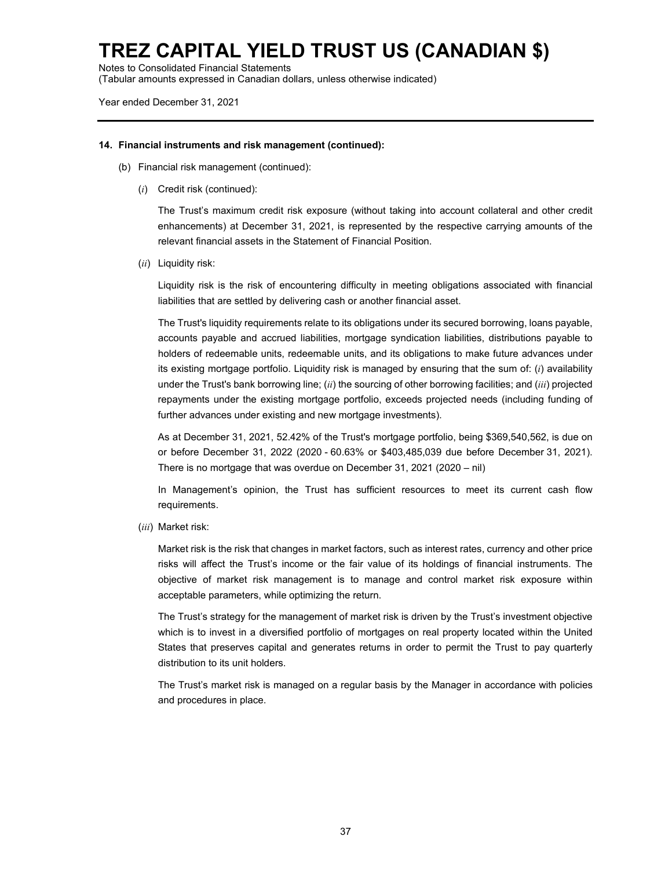Notes to Consolidated Financial Statements (Tabular amounts expressed in Canadian dollars, unless otherwise indicated)

Year ended December 31, 2021

### **14. Financial instruments and risk management (continued):**

- (b) Financial risk management (continued):
	- (*i*) Credit risk (continued):

The Trust's maximum credit risk exposure (without taking into account collateral and other credit enhancements) at December 31, 2021, is represented by the respective carrying amounts of the relevant financial assets in the Statement of Financial Position.

(*ii*) Liquidity risk:

Liquidity risk is the risk of encountering difficulty in meeting obligations associated with financial liabilities that are settled by delivering cash or another financial asset.

The Trust's liquidity requirements relate to its obligations under its secured borrowing, loans payable, accounts payable and accrued liabilities, mortgage syndication liabilities, distributions payable to holders of redeemable units, redeemable units, and its obligations to make future advances under its existing mortgage portfolio. Liquidity risk is managed by ensuring that the sum of: (*i*) availability under the Trust's bank borrowing line; (*ii*) the sourcing of other borrowing facilities; and (*iii*) projected repayments under the existing mortgage portfolio, exceeds projected needs (including funding of further advances under existing and new mortgage investments).

As at December 31, 2021, 52.42% of the Trust's mortgage portfolio, being \$369,540,562, is due on or before December 31, 2022 (2020 - 60.63% or \$403,485,039 due before December 31, 2021). There is no mortgage that was overdue on December 31, 2021 (2020 – nil)

In Management's opinion, the Trust has sufficient resources to meet its current cash flow requirements.

(*iii*) Market risk:

Market risk is the risk that changes in market factors, such as interest rates, currency and other price risks will affect the Trust's income or the fair value of its holdings of financial instruments. The objective of market risk management is to manage and control market risk exposure within acceptable parameters, while optimizing the return.

The Trust's strategy for the management of market risk is driven by the Trust's investment objective which is to invest in a diversified portfolio of mortgages on real property located within the United States that preserves capital and generates returns in order to permit the Trust to pay quarterly distribution to its unit holders.

The Trust's market risk is managed on a regular basis by the Manager in accordance with policies and procedures in place.